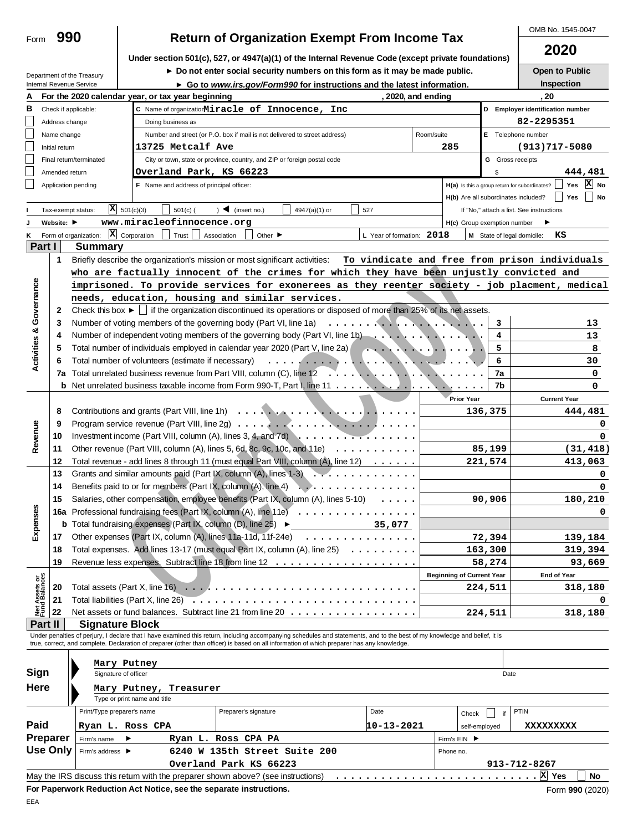|                                |                    | Department of the Treasury                                                                              |                              |                                                   | $\triangleright$ Do not enter social security numbers on this form as it may be made public.                                                                               |               |                           |                    |                                  |                         | Open to Public                                                                                |  |  |
|--------------------------------|--------------------|---------------------------------------------------------------------------------------------------------|------------------------------|---------------------------------------------------|----------------------------------------------------------------------------------------------------------------------------------------------------------------------------|---------------|---------------------------|--------------------|----------------------------------|-------------------------|-----------------------------------------------------------------------------------------------|--|--|
|                                |                    | Internal Revenue Service                                                                                |                              |                                                   | ► Go to www.irs.gov/Form990 for instructions and the latest information.                                                                                                   |               |                           |                    |                                  |                         | Inspection                                                                                    |  |  |
|                                |                    |                                                                                                         |                              | For the 2020 calendar year, or tax year beginning |                                                                                                                                                                            |               |                           | , 2020, and ending |                                  |                         | , 20                                                                                          |  |  |
| В                              |                    | Check if applicable:                                                                                    |                              |                                                   | C Name of organizationMiracle of Innocence, Inc                                                                                                                            |               |                           |                    |                                  |                         | D Employer identification number                                                              |  |  |
|                                | Address change     |                                                                                                         |                              | Doing business as                                 |                                                                                                                                                                            |               |                           |                    |                                  |                         | 82-2295351                                                                                    |  |  |
|                                |                    | Name change<br>Number and street (or P.O. box if mail is not delivered to street address)<br>Room/suite |                              |                                                   |                                                                                                                                                                            |               |                           |                    |                                  |                         | E Telephone number                                                                            |  |  |
|                                | Initial return     | 13725 Metcalf Ave<br>285                                                                                |                              |                                                   |                                                                                                                                                                            |               |                           |                    |                                  |                         | $(913)717 - 5080$                                                                             |  |  |
|                                |                    | Final return/terminated                                                                                 |                              |                                                   | City or town, state or province, country, and ZIP or foreign postal code                                                                                                   |               |                           |                    |                                  | <b>G</b> Gross receipts |                                                                                               |  |  |
|                                |                    | Overland Park, KS 66223<br>Amended return<br>\$                                                         |                              |                                                   |                                                                                                                                                                            |               |                           |                    |                                  |                         | 444,481                                                                                       |  |  |
|                                |                    | Application pending                                                                                     |                              | F Name and address of principal officer:          |                                                                                                                                                                            |               |                           |                    |                                  |                         | $ X $ No<br>H(a) Is this a group return for subordinates?<br>Yes                              |  |  |
|                                |                    |                                                                                                         |                              |                                                   |                                                                                                                                                                            |               |                           |                    |                                  |                         | H(b) Are all subordinates included?<br>Yes<br>  No                                            |  |  |
|                                | Tax-exempt status: |                                                                                                         | $\overline{X}$ 501(c)(3)     | $501(c)$ (                                        | $\sum$ (insert no.)                                                                                                                                                        | 4947(a)(1) or | 527                       |                    |                                  |                         | If "No," attach a list. See instructions                                                      |  |  |
|                                | Website:           |                                                                                                         |                              | www.miracleofinnocence.org                        |                                                                                                                                                                            |               |                           |                    | H(c) Group exemption number      |                         | ▶                                                                                             |  |  |
| ĸ                              |                    | Form of organization:                                                                                   | $\mathbf{X}$ Corporation     | Trust                                             | Association<br>Other $\blacktriangleright$                                                                                                                                 |               | L Year of formation: 2018 |                    |                                  |                         | M State of legal domicile:<br>кs                                                              |  |  |
|                                | Part I             | <b>Summary</b>                                                                                          |                              |                                                   |                                                                                                                                                                            |               |                           |                    |                                  |                         |                                                                                               |  |  |
|                                | $\mathbf{1}$       |                                                                                                         |                              |                                                   | Briefly describe the organization's mission or most significant activities:                                                                                                |               |                           |                    |                                  |                         | To vindicate and free from prison individuals                                                 |  |  |
|                                |                    |                                                                                                         |                              |                                                   | who are factually innocent of the crimes for which they have been unjustly convicted and                                                                                   |               |                           |                    |                                  |                         |                                                                                               |  |  |
|                                |                    |                                                                                                         |                              |                                                   |                                                                                                                                                                            |               |                           |                    |                                  |                         | imprisoned. To provide services for exonerees as they reenter society - job placment, medical |  |  |
| Governance                     |                    |                                                                                                         |                              |                                                   | needs, education, housing and similar services.                                                                                                                            |               |                           |                    |                                  |                         |                                                                                               |  |  |
|                                | 2                  |                                                                                                         |                              |                                                   | Check this box $\blacktriangleright$ if the organization discontinued its operations or disposed of more than 25% of its net assets.                                       |               |                           |                    |                                  |                         |                                                                                               |  |  |
|                                | 3                  |                                                                                                         |                              |                                                   | Number of voting members of the governing body (Part VI, line 1a) $\ldots \ldots \ldots \ldots \ldots \ldots \ldots$                                                       |               |                           |                    |                                  | 3                       | 13                                                                                            |  |  |
|                                | 4                  |                                                                                                         |                              |                                                   | Number of independent voting members of the governing body (Part VI, line 1b)                                                                                              |               |                           |                    |                                  | 4                       | 13                                                                                            |  |  |
|                                | 5                  |                                                                                                         |                              |                                                   | Total number of individuals employed in calendar year 2020 (Part V, line 2a)                                                                                               |               |                           |                    |                                  | 5                       | 8                                                                                             |  |  |
| <b>Activities &amp;</b>        |                    |                                                                                                         |                              |                                                   |                                                                                                                                                                            |               |                           |                    |                                  | 6                       |                                                                                               |  |  |
|                                | 6                  |                                                                                                         |                              |                                                   |                                                                                                                                                                            |               |                           |                    |                                  |                         | 30                                                                                            |  |  |
|                                | 7a                 |                                                                                                         |                              |                                                   |                                                                                                                                                                            |               |                           |                    |                                  | 7a                      | 0                                                                                             |  |  |
|                                |                    |                                                                                                         |                              |                                                   | <b>b</b> Net unrelated business taxable income from Form 990-T, Part I, line 11 $\dots \dots \dots \dots$                                                                  |               |                           |                    |                                  | 7b                      | 0                                                                                             |  |  |
|                                |                    |                                                                                                         |                              |                                                   |                                                                                                                                                                            |               |                           |                    | <b>Prior Year</b>                |                         | <b>Current Year</b>                                                                           |  |  |
|                                | 8                  |                                                                                                         |                              |                                                   |                                                                                                                                                                            |               |                           |                    |                                  | 136,375                 | 444,481                                                                                       |  |  |
|                                | 9                  |                                                                                                         |                              |                                                   |                                                                                                                                                                            |               |                           |                    |                                  |                         | 0                                                                                             |  |  |
| Revenue                        | 10                 | Investment income (Part VIII, column (A), lines 3, 4, and 7d) $\ldots$ ,                                |                              |                                                   |                                                                                                                                                                            |               |                           |                    |                                  | 0                       |                                                                                               |  |  |
|                                | 11                 |                                                                                                         |                              |                                                   | Other revenue (Part VIII, column (A), lines 5, 6d, 8c, 9c, 10c, and 11e)                                                                                                   |               |                           |                    |                                  | 85,199                  | (31, 418)                                                                                     |  |  |
|                                | 12                 |                                                                                                         |                              |                                                   | Total revenue - add lines 8 through 11 (must equal Part VIII, column (A), line 12)                                                                                         |               |                           |                    |                                  | 221,574                 | 413,063                                                                                       |  |  |
|                                | 13                 |                                                                                                         |                              |                                                   | Grants and similar amounts paid (Part IX, column (A), lines $1-3$                                                                                                          |               |                           |                    |                                  |                         | 0                                                                                             |  |  |
|                                | 14                 |                                                                                                         |                              |                                                   | Benefits paid to or for members (Part IX, column (A), line 4)                                                                                                              | <b>W</b> .    |                           |                    |                                  |                         | 0                                                                                             |  |  |
|                                | 15                 |                                                                                                         |                              |                                                   | Salaries, other compensation, employee benefits (Part IX, column (A), lines 5-10)                                                                                          |               | $\cdot$                   |                    |                                  | 90,906                  | 180,210                                                                                       |  |  |
| cesued                         |                    |                                                                                                         |                              |                                                   | 16a Professional fundraising fees (Part IX, column (A), line 11e)                                                                                                          |               |                           |                    |                                  |                         | 0                                                                                             |  |  |
|                                |                    |                                                                                                         |                              |                                                   | <b>b</b> Total fundraising expenses (Part IX, column (D), line 25) $\blacktriangleright$                                                                                   |               | 35,077                    |                    |                                  |                         |                                                                                               |  |  |
| மி                             | 17                 |                                                                                                         |                              |                                                   | Other expenses (Part IX, column (A), lines 11a-11d, 11f-24e)                                                                                                               | .             |                           |                    |                                  | 72,394                  | 139,184                                                                                       |  |  |
|                                | 18                 |                                                                                                         |                              |                                                   | Total expenses. Add lines 13-17 (must equal Part IX, column (A), line 25)                                                                                                  |               | .                         |                    |                                  | 163,300                 | 319,394                                                                                       |  |  |
|                                | 19                 |                                                                                                         |                              |                                                   |                                                                                                                                                                            |               |                           |                    |                                  | 58,274                  | 93,669                                                                                        |  |  |
|                                |                    |                                                                                                         |                              |                                                   |                                                                                                                                                                            |               |                           |                    | <b>Beginning of Current Year</b> |                         | End of Year                                                                                   |  |  |
|                                | 20                 |                                                                                                         |                              |                                                   |                                                                                                                                                                            |               |                           |                    |                                  | 224,511                 | 318,180                                                                                       |  |  |
|                                | 21                 | Total liabilities (Part X, line 26)                                                                     |                              |                                                   |                                                                                                                                                                            |               |                           |                    |                                  |                         | 0                                                                                             |  |  |
| Net Assets or<br>Fund Balances | 22                 |                                                                                                         |                              |                                                   | Net assets or fund balances. Subtract line 21 from line 20                                                                                                                 |               |                           |                    |                                  | 224,511                 | 318,180                                                                                       |  |  |
|                                | Part II            | <b>Signature Block</b>                                                                                  |                              |                                                   |                                                                                                                                                                            |               |                           |                    |                                  |                         |                                                                                               |  |  |
|                                |                    |                                                                                                         |                              |                                                   | Under penalties of perjury, I declare that I have examined this return, including accompanying schedules and statements, and to the best of my knowledge and belief, it is |               |                           |                    |                                  |                         |                                                                                               |  |  |
|                                |                    |                                                                                                         |                              |                                                   | true, correct, and complete. Declaration of preparer (other than officer) is based on all information of which preparer has any knowledge.                                 |               |                           |                    |                                  |                         |                                                                                               |  |  |
|                                |                    |                                                                                                         | Mary Putney                  |                                                   |                                                                                                                                                                            |               |                           |                    |                                  |                         |                                                                                               |  |  |
| Sign                           |                    | Signature of officer                                                                                    |                              |                                                   |                                                                                                                                                                            |               |                           |                    |                                  | Date                    |                                                                                               |  |  |
| Here                           |                    |                                                                                                         |                              | Mary Putney, Treasurer                            |                                                                                                                                                                            |               |                           |                    |                                  |                         |                                                                                               |  |  |
|                                |                    |                                                                                                         | Type or print name and title |                                                   |                                                                                                                                                                            |               |                           |                    |                                  |                         |                                                                                               |  |  |
|                                |                    | Print/Type preparer's name                                                                              |                              |                                                   | Preparer's signature                                                                                                                                                       |               | Date                      |                    |                                  | if                      | <b>PTIN</b>                                                                                   |  |  |
| Paid                           |                    |                                                                                                         |                              |                                                   |                                                                                                                                                                            |               |                           |                    | Check                            |                         |                                                                                               |  |  |
|                                |                    | Ryan L. Ross CPA                                                                                        |                              |                                                   |                                                                                                                                                                            |               | 10-13-2021                |                    |                                  | self-employed           | xxxxxxxxx                                                                                     |  |  |
|                                | Preparer           | Firm's name                                                                                             |                              |                                                   | Ryan L. Ross CPA PA                                                                                                                                                        |               |                           |                    | Firm's EIN ▶                     |                         |                                                                                               |  |  |
|                                | <b>Use Only</b>    | Firm's address ▶                                                                                        |                              |                                                   | 6240 W 135th Street Suite 200                                                                                                                                              |               |                           |                    | Phone no.                        |                         |                                                                                               |  |  |
|                                |                    |                                                                                                         |                              |                                                   | Overland Park KS 66223                                                                                                                                                     |               |                           |                    |                                  |                         | 913-712-8267                                                                                  |  |  |
|                                |                    |                                                                                                         |                              |                                                   | May the IRS discuss this retum with the preparer shown above? (see instructions)                                                                                           |               |                           |                    |                                  |                         | $ \mathbf{X} $ Yes<br>No                                                                      |  |  |

**OMB No. 1545-0047 Return of Organization Exempt From Income Tax** 

**Under section 501(c), 527, or 4947(a)(1) of the Internal Revenue Code (except private foundations)**

Form 990

**2020**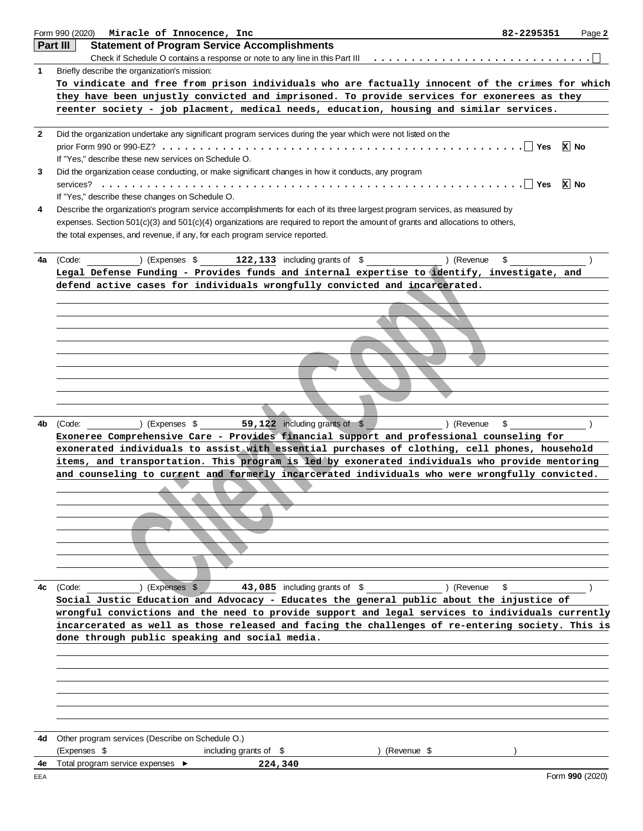|              | Form 990 (2020)<br>Miracle of Innocence, Inc<br>82-2295351                                                                                                                                       |         | Page 2          |
|--------------|--------------------------------------------------------------------------------------------------------------------------------------------------------------------------------------------------|---------|-----------------|
|              | Part III<br><b>Statement of Program Service Accomplishments</b>                                                                                                                                  |         |                 |
|              | Check if Schedule O contains a response or note to any line in this Part III                                                                                                                     |         |                 |
| 1            | Briefly describe the organization's mission:                                                                                                                                                     |         |                 |
|              | To vindicate and free from prison individuals who are factually innocent of the crimes for which                                                                                                 |         |                 |
|              | they have been unjustly convicted and imprisoned. To provide services for exonerees as they                                                                                                      |         |                 |
|              | reenter society - job placment, medical needs, education, housing and similar services.                                                                                                          |         |                 |
|              |                                                                                                                                                                                                  |         |                 |
| $\mathbf{2}$ | Did the organization undertake any significant program services during the year which were not listed on the                                                                                     |         |                 |
|              |                                                                                                                                                                                                  | ∣ I Yes | ∣x∣ No          |
|              | If "Yes," describe these new services on Schedule O.                                                                                                                                             |         |                 |
| 3            | Did the organization cease conducting, or make significant changes in how it conducts, any program                                                                                               |         |                 |
|              |                                                                                                                                                                                                  | ∣ Yes   | ∣x∣ No          |
|              | If "Yes," describe these changes on Schedule O.                                                                                                                                                  |         |                 |
| 4            | Describe the organization's program service accomplishments for each of its three largest program services, as measured by                                                                       |         |                 |
|              | expenses. Section 501(c)(3) and 501(c)(4) organizations are required to report the amount of grants and allocations to others,                                                                   |         |                 |
|              | the total expenses, and revenue, if any, for each program service reported.                                                                                                                      |         |                 |
|              |                                                                                                                                                                                                  |         |                 |
| 4a           | \$<br>(Expenses \$122,133 including grants of \$<br>) (Revenue<br>(Code:                                                                                                                         |         |                 |
|              | Legal Defense Funding - Provides funds and internal expertise to identify, investigate, and                                                                                                      |         |                 |
|              | defend active cases for individuals wrongfully convicted and incarcerated.                                                                                                                       |         |                 |
|              |                                                                                                                                                                                                  |         |                 |
|              |                                                                                                                                                                                                  |         |                 |
|              |                                                                                                                                                                                                  |         |                 |
|              |                                                                                                                                                                                                  |         |                 |
|              |                                                                                                                                                                                                  |         |                 |
|              |                                                                                                                                                                                                  |         |                 |
|              |                                                                                                                                                                                                  |         |                 |
|              |                                                                                                                                                                                                  |         |                 |
|              |                                                                                                                                                                                                  |         |                 |
|              |                                                                                                                                                                                                  |         |                 |
| 4b           | $(1.5)$ (Expenses \$59,122 including grants of \$<br>) (Revenue<br>\$<br>(Code:                                                                                                                  |         |                 |
|              | Exoneree Comprehensive Care - Provides financial support and professional counseling for                                                                                                         |         |                 |
|              | exonerated individuals to assist with essential purchases of clothing, cell phones, household                                                                                                    |         |                 |
|              | items, and transportation. This program is led by exonerated individuals who provide mentoring<br>and counseling to current and formerly incarcerated individuals who were wrongfully convicted. |         |                 |
|              |                                                                                                                                                                                                  |         |                 |
|              |                                                                                                                                                                                                  |         |                 |
|              |                                                                                                                                                                                                  |         |                 |
|              |                                                                                                                                                                                                  |         |                 |
|              |                                                                                                                                                                                                  |         |                 |
|              |                                                                                                                                                                                                  |         |                 |
|              |                                                                                                                                                                                                  |         |                 |
|              |                                                                                                                                                                                                  |         |                 |
| 4c           | ) (Revenue<br>) (Expenses \$<br>43,085 including grants of \$<br>\$<br>(Code:                                                                                                                    |         |                 |
|              | Social Justic Education and Advocacy - Educates the general public about the injustice of                                                                                                        |         |                 |
|              | wrongful convictions and the need to provide support and legal services to individuals currently                                                                                                 |         |                 |
|              | incarcerated as well as those released and facing the challenges of re-entering society. This is                                                                                                 |         |                 |
|              | done through public speaking and social media.                                                                                                                                                   |         |                 |
|              |                                                                                                                                                                                                  |         |                 |
|              |                                                                                                                                                                                                  |         |                 |
|              |                                                                                                                                                                                                  |         |                 |
|              |                                                                                                                                                                                                  |         |                 |
|              |                                                                                                                                                                                                  |         |                 |
|              |                                                                                                                                                                                                  |         |                 |
|              |                                                                                                                                                                                                  |         |                 |
| 4d           | Other program services (Describe on Schedule O.)                                                                                                                                                 |         |                 |
|              | (Expenses \$<br>including grants of $$$<br>) (Revenue \$                                                                                                                                         |         |                 |
| 4e           | Total program service expenses ▶<br>224,340                                                                                                                                                      |         |                 |
| EEA          |                                                                                                                                                                                                  |         | Form 990 (2020) |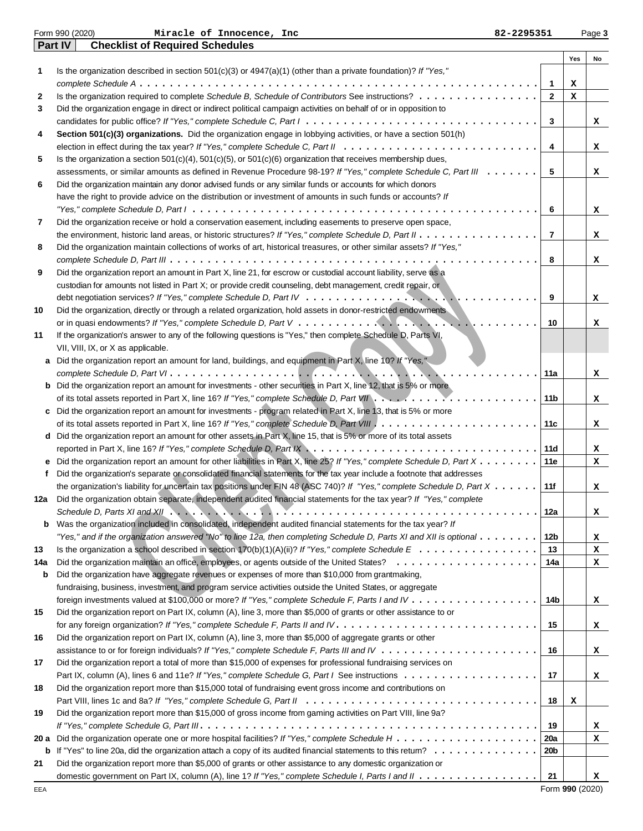|      | Part IV<br><b>Checklist of Required Schedules</b>                                                                                                         |                   |     |    |
|------|-----------------------------------------------------------------------------------------------------------------------------------------------------------|-------------------|-----|----|
|      |                                                                                                                                                           |                   | Yes | No |
| 1    | Is the organization described in section $501(c)(3)$ or $4947(a)(1)$ (other than a private foundation)? If "Yes,"                                         |                   |     |    |
|      |                                                                                                                                                           | $\mathbf{1}$      | х   |    |
| 2    | Is the organization required to complete Schedule B, Schedule of Contributors See instructions?                                                           | $\mathbf{2}$      | x   |    |
| 3    | Did the organization engage in direct or indirect political campaign activities on behalf of or in opposition to                                          |                   |     |    |
|      |                                                                                                                                                           | 3                 |     | x  |
| 4    | Section 501(c)(3) organizations. Did the organization engage in lobbying activities, or have a section 501(h)                                             |                   |     |    |
|      |                                                                                                                                                           | 4                 |     | x  |
| 5    | Is the organization a section $501(c)(4)$ , $501(c)(5)$ , or $501(c)(6)$ organization that receives membership dues,                                      |                   |     |    |
|      | assessments, or similar amounts as defined in Revenue Procedure 98-19? If "Yes," complete Schedule C, Part III                                            | 5                 |     | x  |
| 6    | Did the organization maintain any donor advised funds or any similar funds or accounts for which donors                                                   |                   |     |    |
|      | have the right to provide advice on the distribution or investment of amounts in such funds or accounts? If                                               |                   |     |    |
|      |                                                                                                                                                           | 6                 |     | x  |
| 7    | Did the organization receive or hold a conservation easement, including easements to preserve open space,                                                 |                   |     |    |
|      | the environment, historic land areas, or historic structures? If "Yes," complete Schedule D, Part II                                                      | $\overline{7}$    |     | x  |
| 8    | Did the organization maintain collections of works of art, historical treasures, or other similar assets? If "Yes,"                                       |                   |     |    |
|      |                                                                                                                                                           | 8                 |     | x  |
| 9    | Did the organization report an amount in Part X, line 21, for escrow or custodial account liability, serve as a                                           |                   |     |    |
|      | custodian for amounts not listed in Part X; or provide credit counseling, debt management, credit repair, or                                              |                   |     |    |
|      |                                                                                                                                                           | 9                 |     | x  |
| 10   | Did the organization, directly or through a related organization, hold assets in donor-restricted endowments                                              |                   |     |    |
|      |                                                                                                                                                           | 10                |     | x  |
| 11   | If the organization's answer to any of the following questions is "Yes," then complete Schedule D, Parts VI,                                              |                   |     |    |
|      | VII, VIII, IX, or X as applicable.                                                                                                                        |                   |     |    |
| а    | Did the organization report an amount for land, buildings, and equipment in Part X, line 10? If "Yes,"                                                    |                   |     |    |
|      |                                                                                                                                                           | 11a               |     | x  |
|      | <b>b</b> Did the organization report an amount for investments - other securities in Part X, line 12, that is 5% or more                                  |                   |     |    |
|      |                                                                                                                                                           | 11 <sub>b</sub>   |     | x  |
| c    | Did the organization report an amount for investments - program related in Part X, line 13, that is 5% or more                                            |                   |     |    |
|      |                                                                                                                                                           | 11c               |     | x  |
|      | d Did the organization report an amount for other assets in Part X, line 15, that is 5% or more of its total assets                                       |                   |     |    |
|      | reported in Part X, line 16? If "Yes," complete Schedule D, Part IX $\ldots \ldots \ldots \ldots \ldots \ldots \ldots \ldots \ldots \ldots \ldots \ldots$ | 11d               |     | x  |
|      | e Did the organization report an amount for other liabilities in Part X, line 25? If "Yes," complete Schedule D, Part X                                   | 11e               |     | x  |
| f    | Did the organization's separate or consolidated financial statements for the tax year include a footnote that addresses                                   |                   |     |    |
|      | the organization's liability for uncertain tax positions under FIN 48 (ASC 740)? If "Yes," complete Schedule D, Part X                                    | 11f               |     | x  |
| 12a  | Did the organization obtain separate, independent audited financial statements for the tax year? If "Yes," complete                                       |                   |     |    |
|      | Schedule D, Parts XI and XII $\ldots \ldots \ldots \ldots \ldots \ldots \ldots \ldots \ldots \ldots \ldots$                                               | 12a               |     | x  |
| b    | Was the organization included in consolidated, independent audited financial statements for the tax year? If                                              |                   |     |    |
|      | "Yes," and if the organization answered "No" to line 12a, then completing Schedule D, Parts XI and XII is optional $\ldots\ldots\ldots$                   | 12b               |     | x  |
| 13   | Is the organization a school described in section 170(b)(1)(A)(ii)? If "Yes," complete Schedule $E_1, \ldots, \ldots, \ldots, \ldots, \ldots$             | 13                |     | x  |
| 14a  |                                                                                                                                                           | 14a               |     | х  |
| b    | Did the organization have aggregate revenues or expenses of more than \$10,000 from grantmaking,                                                          |                   |     |    |
|      | fundraising, business, investment, and program service activities outside the United States, or aggregate                                                 |                   |     |    |
|      |                                                                                                                                                           | 14b               |     | x  |
| 15   | Did the organization report on Part IX, column (A), line 3, more than \$5,000 of grants or other assistance to or                                         |                   |     |    |
|      |                                                                                                                                                           | 15                |     | x  |
| 16   | Did the organization report on Part IX, column (A), line 3, more than \$5,000 of aggregate grants or other                                                |                   |     |    |
|      |                                                                                                                                                           | 16                |     | х  |
| 17   | Did the organization report a total of more than \$15,000 of expenses for professional fundraising services on                                            |                   |     |    |
|      |                                                                                                                                                           | 17                |     | x  |
| 18   | Did the organization report more than \$15,000 total of fundraising event gross income and contributions on                                               |                   |     |    |
|      |                                                                                                                                                           | 18                | х   |    |
| 19   | Did the organization report more than \$15,000 of gross income from gaming activities on Part VIII, line 9a?                                              |                   |     |    |
|      |                                                                                                                                                           | 19                |     | x  |
| 20 a |                                                                                                                                                           | <b>20a</b>        |     | x  |
| b    | If "Yes" to line 20a, did the organization attach a copy of its audited financial statements to this retum?                                               | 20b               |     |    |
| 21   | Did the organization report more than \$5,000 of grants or other assistance to any domestic organization or                                               |                   |     |    |
|      | domestic government on Part IX, column (A), line 1? If "Yes," complete Schedule I, Parts I and II                                                         | 21                |     | x  |
|      |                                                                                                                                                           | $Form$ 000 (2020) |     |    |

Form 990 (2020) Page **3 Miracle of Innocence, Inc 82-2295351**

Form **990** (2020)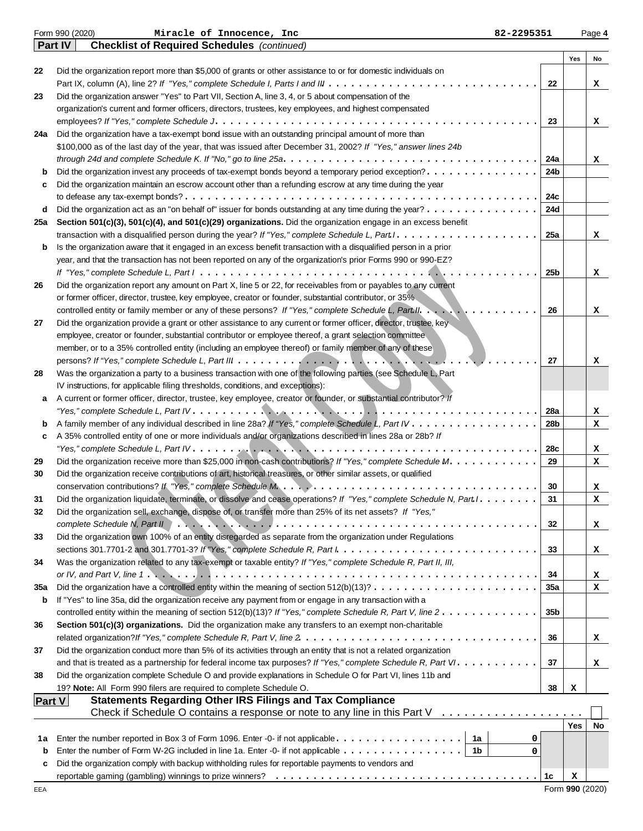|         | Form 990 (2020)<br>Miracle of Innocence, Inc<br>82-2295351                                                                                                                                                                                            |                 |            | Page 4 |
|---------|-------------------------------------------------------------------------------------------------------------------------------------------------------------------------------------------------------------------------------------------------------|-----------------|------------|--------|
|         | <b>Part IV</b><br><b>Checklist of Required Schedules</b> (continued)                                                                                                                                                                                  |                 |            |        |
|         |                                                                                                                                                                                                                                                       |                 | Yes        | No     |
| 22      | Did the organization report more than \$5,000 of grants or other assistance to or for domestic individuals on                                                                                                                                         |                 |            |        |
|         |                                                                                                                                                                                                                                                       | 22              |            | x      |
| 23      | Did the organization answer "Yes" to Part VII, Section A, line 3, 4, or 5 about compensation of the                                                                                                                                                   |                 |            |        |
|         | organization's current and former officers, directors, trustees, key employees, and highest compensated                                                                                                                                               |                 |            |        |
|         |                                                                                                                                                                                                                                                       | 23              |            | x      |
| 24a     | Did the organization have a tax-exempt bond issue with an outstanding principal amount of more than                                                                                                                                                   |                 |            |        |
|         | \$100,000 as of the last day of the year, that was issued after December 31, 2002? If "Yes," answer lines 24b                                                                                                                                         |                 |            |        |
|         |                                                                                                                                                                                                                                                       | 24a             |            | x      |
| b       | Did the organization invest any proceeds of tax-exempt bonds beyond a temporary period exception?                                                                                                                                                     | 24b             |            |        |
| c       | Did the organization maintain an escrow account other than a refunding escrow at any time during the year                                                                                                                                             |                 |            |        |
|         |                                                                                                                                                                                                                                                       | 24c             |            |        |
| d       | Did the organization act as an "on behalf of" issuer for bonds outstanding at any time during the year?                                                                                                                                               | 24d             |            |        |
| 25a     | Section 501(c)(3), 501(c)(4), and 501(c)(29) organizations. Did the organization engage in an excess benefit                                                                                                                                          |                 |            |        |
|         | transaction with a disqualified person during the year? If "Yes," complete Schedule L, Part $l_1, \ldots, \ldots, \ldots, \ldots, \ldots, \ldots$                                                                                                     | 25a             |            | x      |
| b       | Is the organization aware that it engaged in an excess benefit transaction with a disqualified person in a prior                                                                                                                                      |                 |            |        |
|         | year, and that the transaction has not been reported on any of the organization's prior Forms 990 or 990-EZ?                                                                                                                                          |                 |            |        |
|         |                                                                                                                                                                                                                                                       | 25b             |            | x      |
| 26      | Did the organization report any amount on Part X, line 5 or 22, for receivables from or payables to any current                                                                                                                                       |                 |            |        |
|         | or former officer, director, trustee, key employee, creator or founder, substantial contributor, or 35%                                                                                                                                               |                 |            |        |
|         | controlled entity or family member or any of these persons? If "Yes," complete Schedule L, Part II.                                                                                                                                                   | 26              |            | x      |
| 27      | Did the organization provide a grant or other assistance to any current or former officer, director, trustee, key                                                                                                                                     |                 |            |        |
|         | employee, creator or founder, substantial contributor or employee thereof, a grant selection committee                                                                                                                                                |                 |            |        |
|         | member, or to a 35% controlled entity (including an employee thereof) or family member of any of these                                                                                                                                                |                 |            |        |
|         |                                                                                                                                                                                                                                                       | 27              |            | x      |
| 28      | Was the organization a party to a business transaction with one of the following parties (see Schedule L, Part                                                                                                                                        |                 |            |        |
|         | IV instructions, for applicable filing thresholds, conditions, and exceptions):                                                                                                                                                                       |                 |            |        |
| а       | A current or former officer, director, trustee, key employee, creator or founder, or substantial contributor? If                                                                                                                                      |                 |            |        |
|         |                                                                                                                                                                                                                                                       | 28a             |            | x      |
| b       |                                                                                                                                                                                                                                                       | 28b             |            | x      |
| c       | A 35% controlled entity of one or more individuals and/or organizations described in lines 28a or 28b? If                                                                                                                                             |                 |            |        |
|         |                                                                                                                                                                                                                                                       | 28c             |            | x      |
| 29      | Did the organization receive more than \$25,000 in non-cash contributions? If "Yes," complete Schedule M.                                                                                                                                             | 29              |            | x      |
| 30      | Did the organization receive contributions of art, historical treasures, or other similar assets, or qualified                                                                                                                                        |                 |            |        |
|         |                                                                                                                                                                                                                                                       | 30<br>31        |            | x      |
| 31      | Did the organization liquidate, terminate, or dissolve and cease operations? If "Yes," complete Schedule N, Part I. .                                                                                                                                 |                 |            | x      |
| 32      | Did the organization sell, exchange, dispose of, or transfer more than 25% of its net assets? If "Yes,"                                                                                                                                               |                 |            |        |
|         | Did the organization own 100% of an entity disregarded as separate from the organization under Regulations                                                                                                                                            | 32              |            | x      |
| 33      |                                                                                                                                                                                                                                                       |                 |            |        |
|         | sections 301.7701-2 and 301.7701-3? If "Yes," complete Schedule R, Part $l : \ldots : \ldots : \ldots : \ldots : \ldots : \ldots : \ldots$                                                                                                            | 33              |            | x      |
| 34      | Was the organization related to any tax-exempt or taxable entity? If "Yes," complete Schedule R, Part II, III,                                                                                                                                        |                 |            |        |
|         |                                                                                                                                                                                                                                                       | 34              |            | x      |
| 35a     | Did the organization have a controlled entity within the meaning of section $512(b)(13)? \ldots \ldots \ldots \ldots \ldots \ldots \ldots$<br>If "Yes" to line 35a, did the organization receive any payment from or engage in any transaction with a | <b>35a</b>      |            | x      |
| b       | controlled entity within the meaning of section 512(b)(13)? If "Yes," complete Schedule R, Part V, line 2.                                                                                                                                            | 35 <sub>b</sub> |            |        |
| 36      | Section 501(c)(3) organizations. Did the organization make any transfers to an exempt non-charitable                                                                                                                                                  |                 |            |        |
|         |                                                                                                                                                                                                                                                       | 36              |            |        |
| 37      | Did the organization conduct more than 5% of its activities through an entity that is not a related organization                                                                                                                                      |                 |            | x      |
|         | and that is treated as a partnership for federal income tax purposes? If "Yes," complete Schedule R, Part VI.                                                                                                                                         | 37              |            |        |
|         |                                                                                                                                                                                                                                                       |                 |            | x      |
| 38      | Did the organization complete Schedule O and provide explanations in Schedule O for Part VI, lines 11b and<br>19? Note: All Form 990 filers are required to complete Schedule O.                                                                      | 38              | х          |        |
|         | <b>Statements Regarding Other IRS Filings and Tax Compliance</b>                                                                                                                                                                                      |                 |            |        |
| Part V  | Check if Schedule O contains a response or note to any line in this Part V $\ldots \ldots \ldots \ldots \ldots$                                                                                                                                       |                 |            |        |
|         |                                                                                                                                                                                                                                                       |                 | <b>Yes</b> | No     |
|         | 0                                                                                                                                                                                                                                                     |                 |            |        |
| 1a<br>b | Enter the number of Form W-2G included in line 1a. Enter -0- if not applicable $\dots \dots \dots \dots \dots$<br>0                                                                                                                                   |                 |            |        |
| c       | Did the organization comply with backup withholding rules for reportable payments to vendors and                                                                                                                                                      |                 |            |        |
|         |                                                                                                                                                                                                                                                       | 1c              | х          |        |
|         |                                                                                                                                                                                                                                                       |                 |            |        |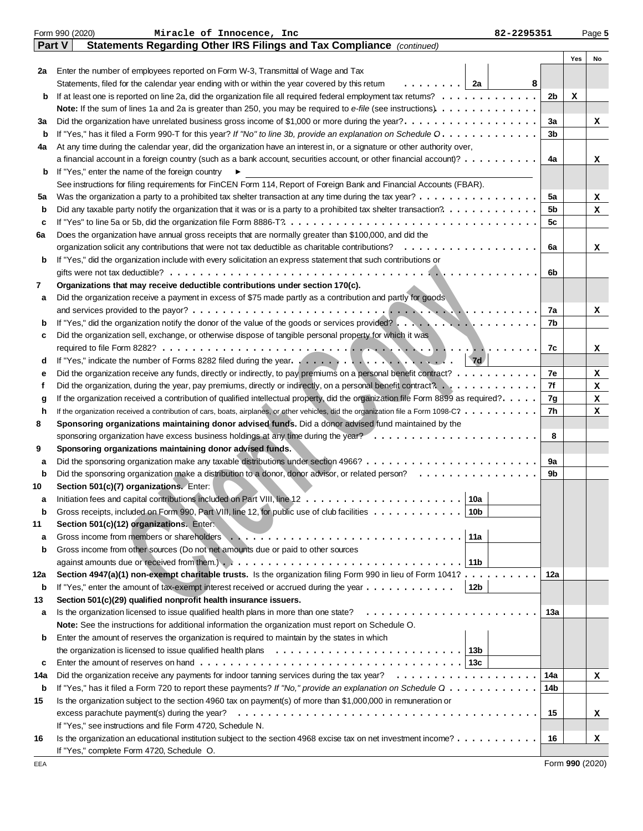|         | Form 990 (2020)<br>Miracle of Innocence, Inc<br>82-2295351                                                                                                                                                                           |                |     | Page 5 |
|---------|--------------------------------------------------------------------------------------------------------------------------------------------------------------------------------------------------------------------------------------|----------------|-----|--------|
|         | Statements Regarding Other IRS Filings and Tax Compliance (continued)<br>Part V                                                                                                                                                      |                |     |        |
|         |                                                                                                                                                                                                                                      |                | Yes | No     |
| 2a      | Enter the number of employees reported on Form W-3, Transmittal of Wage and Tax                                                                                                                                                      |                |     |        |
|         | . 1<br>Statements, filed for the calendar year ending with or within the year covered by this retum<br>2a<br>8                                                                                                                       |                |     |        |
| b       | If at least one is reported on line 2a, did the organization file all required federal employment tax returns?                                                                                                                       | 2 <sub>b</sub> | x   |        |
|         |                                                                                                                                                                                                                                      |                |     |        |
| За      | Did the organization have unrelated business gross income of \$1,000 or more during the year?                                                                                                                                        | За             |     | x      |
| b       | If "Yes," has it filed a Form 990-T for this year? If "No" to line 3b, provide an explanation on Schedule O.                                                                                                                         | 3 <sub>b</sub> |     |        |
| 4a      | At any time during the calendar year, did the organization have an interest in, or a signature or other authority over,                                                                                                              |                |     |        |
|         | a financial account in a foreign country (such as a bank account, securities account, or other financial account)?                                                                                                                   | 4a             |     | x      |
| b       | If "Yes," enter the name of the foreign country                                                                                                                                                                                      |                |     |        |
|         | See instructions for filing requirements for FinCEN Form 114, Report of Foreign Bank and Financial Accounts (FBAR).                                                                                                                  |                |     |        |
| 5a      | Was the organization a party to a prohibited tax shelter transaction at any time during the tax year?                                                                                                                                | 5a<br>5b       |     | x      |
| b       |                                                                                                                                                                                                                                      | 5c             |     | x      |
| c<br>6a | Does the organization have annual gross receipts that are normally greater than \$100,000, and did the                                                                                                                               |                |     |        |
|         |                                                                                                                                                                                                                                      | 6a             |     | x      |
| b       | If "Yes," did the organization include with every solicitation an express statement that such contributions or                                                                                                                       |                |     |        |
|         |                                                                                                                                                                                                                                      | 6b             |     |        |
| 7       | Organizations that may receive deductible contributions under section 170(c).                                                                                                                                                        |                |     |        |
| а       | Did the organization receive a payment in excess of \$75 made partly as a contribution and partly for goods                                                                                                                          |                |     |        |
|         |                                                                                                                                                                                                                                      | 7a             |     | x      |
| b       | If "Yes," did the organization notify the donor of the value of the goods or services provided?                                                                                                                                      | 7b             |     |        |
| c       | Did the organization sell, exchange, or otherwise dispose of tangible personal property for which it was                                                                                                                             |                |     |        |
|         | 1.                                                                                                                                                                                                                                   | 7c             |     | x      |
| d       | 7d                                                                                                                                                                                                                                   |                |     |        |
| е       | Did the organization receive any funds, directly or indirectly, to pay premiums on a personal benefit contract?                                                                                                                      | 7e             |     | x      |
| f       |                                                                                                                                                                                                                                      | 7f             |     | x      |
| g       | If the organization received a contribution of qualified intellectual property, did the organization file Form 8899 as required?.                                                                                                    | 7g             |     | x      |
| h       | If the organization received a contribution of cars, boats, airplanes, or other vehicles, did the organization file a Form 1098-C?                                                                                                   | 7h             |     | x      |
| 8       | Sponsoring organizations maintaining donor advised funds. Did a donor advised fund maintained by the                                                                                                                                 |                |     |        |
|         |                                                                                                                                                                                                                                      | 8              |     |        |
| 9       | Sponsoring organizations maintaining donor advised funds.                                                                                                                                                                            |                |     |        |
| а       |                                                                                                                                                                                                                                      | 9а             |     |        |
| b       |                                                                                                                                                                                                                                      | 9b             |     |        |
| 10      | Section 501(c)(7) organizations. Enter:                                                                                                                                                                                              |                |     |        |
|         | 10a $ $                                                                                                                                                                                                                              |                |     |        |
| b       | Gross receipts, included on Form 990, Part VIII, line 12, for public use of club facilities<br>10b                                                                                                                                   |                |     |        |
| 11      | Section 501(c)(12) organizations. Enter:                                                                                                                                                                                             |                |     |        |
| a       | Gross income from members or shareholders entering to the content of the state of the state of the state of the state of the state of the state of the state of the state of the state of the state of the state of the state<br>11a |                |     |        |
| b       | Gross income from other sources (Do not net amounts due or paid to other sources                                                                                                                                                     |                |     |        |
|         | 11b                                                                                                                                                                                                                                  |                |     |        |
| 12a     | Section 4947(a)(1) non-exempt charitable trusts. Is the organization filing Form 990 in lieu of Form 1041?                                                                                                                           | 12a            |     |        |
| b       | If "Yes," enter the amount of tax-exempt interest received or accrued during the year $\dots \dots \dots \dots$<br>12b                                                                                                               |                |     |        |
| 13      | Section 501(c)(29) qualified nonprofit health insurance issuers.                                                                                                                                                                     |                |     |        |
| a       | Is the organization licensed to issue qualified health plans in more than one state?                                                                                                                                                 | 13а            |     |        |
|         | Note: See the instructions for additional information the organization must report on Schedule O.                                                                                                                                    |                |     |        |
| b       | Enter the amount of reserves the organization is required to maintain by the states in which                                                                                                                                         |                |     |        |
|         | the organization is licensed to issue qualified health plans $\ldots \ldots \ldots \ldots \ldots \ldots \ldots \ldots$<br>13b                                                                                                        |                |     |        |
| c       |                                                                                                                                                                                                                                      |                |     |        |
| 14a     |                                                                                                                                                                                                                                      | 14a            |     | x      |
| b       | If "Yes," has it filed a Form 720 to report these payments? If "No," provide an explanation on Schedule Q                                                                                                                            | 14b            |     |        |
| 15      | Is the organization subject to the section 4960 tax on payment(s) of more than \$1,000,000 in remuneration or                                                                                                                        |                |     |        |
|         | excess parachute payment(s) during the year?                                                                                                                                                                                         | 15             |     | x      |
|         | If "Yes," see instructions and file Form 4720, Schedule N.                                                                                                                                                                           |                |     |        |
| 16      | Is the organization an educational institution subject to the section 4968 excise tax on net investment income?                                                                                                                      | 16             |     | x      |
|         | If "Yes," complete Form 4720, Schedule O.                                                                                                                                                                                            |                |     |        |

Form **990** (2020)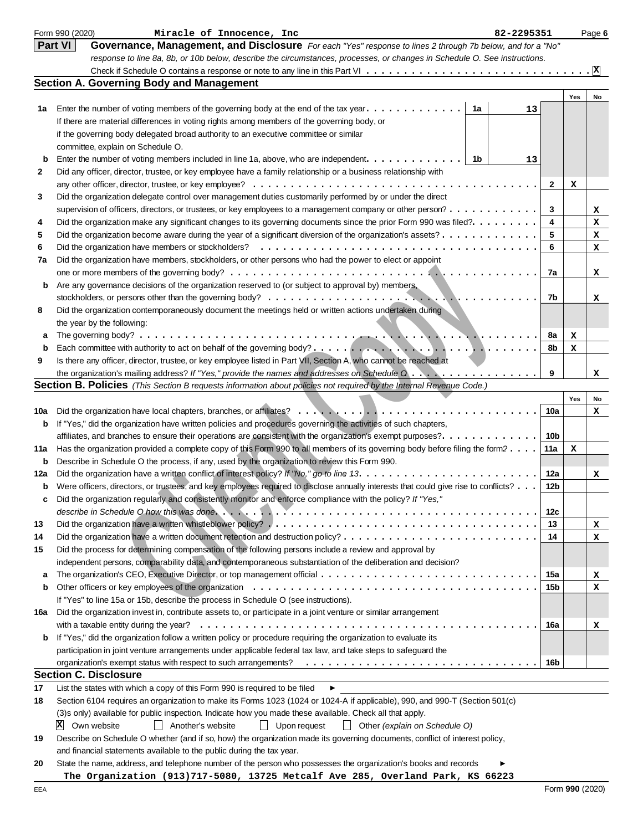|     | Form 990 (2020)<br>Miracle of Innocence, Inc<br>82-2295351                                                                                           |     |     | Page 6 |
|-----|------------------------------------------------------------------------------------------------------------------------------------------------------|-----|-----|--------|
|     | Part VI<br>Governance, Management, and Disclosure For each "Yes" response to lines 2 through 7b below, and for a "No"                                |     |     |        |
|     | response to line 8a, 8b, or 10b below, describe the circumstances, processes, or changes in Schedule O. See instructions.                            |     |     |        |
|     |                                                                                                                                                      |     |     |        |
|     | <b>Section A. Governing Body and Management</b>                                                                                                      |     |     |        |
|     |                                                                                                                                                      |     | Yes | No     |
| 1a  | Enter the number of voting members of the governing body at the end of the tax year. $\dots$<br>1a<br>13                                             |     |     |        |
|     | If there are material differences in voting rights among members of the governing body, or                                                           |     |     |        |
|     | if the governing body delegated broad authority to an executive committee or similar                                                                 |     |     |        |
|     | committee, explain on Schedule O.                                                                                                                    |     |     |        |
| b   | Enter the number of voting members included in line 1a, above, who are independent.<br>1b<br>13                                                      |     |     |        |
| 2   | Did any officer, director, trustee, or key employee have a family relationship or a business relationship with                                       |     |     |        |
|     |                                                                                                                                                      | 2   |     |        |
| 3   | Did the organization delegate control over management duties customarily performed by or under the direct                                            |     | х   |        |
|     |                                                                                                                                                      |     |     |        |
|     | supervision of officers, directors, or trustees, or key employees to a management company or other person?                                           | 3   |     | x      |
| 4   | Did the organization make any significant changes to its governing documents since the prior Form 990 was filed?.                                    | 4   |     | x      |
| 5   | Did the organization become aware during the year of a significant diversion of the organization's assets?                                           | 5   |     | x      |
| 6   | Did the organization have members or stockholders?                                                                                                   | 6   |     | x      |
| 7a  | Did the organization have members, stockholders, or other persons who had the power to elect or appoint                                              |     |     |        |
|     |                                                                                                                                                      | 7a  |     | x      |
| b   | Are any governance decisions of the organization reserved to (or subject to approval by) members,                                                    |     |     |        |
|     | stockholders, or persons other than the governing body? $\ldots \ldots \ldots \ldots \ldots \ldots \ldots \ldots \ldots$                             | 7b  |     | x      |
| 8   | Did the organization contemporaneously document the meetings held or written actions undertaken during                                               |     |     |        |
|     | the year by the following:                                                                                                                           |     |     |        |
| а   |                                                                                                                                                      | 8a  | x   |        |
| b   |                                                                                                                                                      | 8b  | х   |        |
| 9   | Is there any officer, director, trustee, or key employee listed in Part VII, Section A, who cannot be reached at                                     |     |     |        |
|     | the organization's mailing address? If "Yes," provide the names and addresses on Schedule $0, \ldots, \ldots, \ldots, \ldots$                        | 9   |     | x      |
|     | <b>Section B. Policies</b> (This Section B requests information about policies not required by the Internal Revenue Code.)                           |     |     |        |
|     |                                                                                                                                                      |     | Yes | No     |
| 10a |                                                                                                                                                      | 10a |     | x      |
| b   | If "Yes," did the organization have written policies and procedures governing the activities of such chapters,                                       |     |     |        |
|     | affiliates, and branches to ensure their operations are consistent with the organization's exempt purposes?.                                         | 10b |     |        |
| 11a | Has the organization provided a complete copy of this Form 990 to all members of its governing body before filing the form?                          | 11a | x   |        |
| b   | Describe in Schedule O the process, if any, used by the organization to review this Form 990.                                                        |     |     |        |
| 12a |                                                                                                                                                      | 12a |     | x      |
| b   | Were officers, directors, or trustees, and key employees required to disclose annually interests that could give rise to conflicts?                  | 12b |     |        |
|     | Did the organization regularly and consistently monitor and enforce compliance with the policy? If "Yes,"                                            |     |     |        |
|     |                                                                                                                                                      | 12c |     |        |
| 13  |                                                                                                                                                      | 13  |     | x      |
| 14  |                                                                                                                                                      | 14  |     | x      |
| 15  | Did the process for determining compensation of the following persons include a review and approval by                                               |     |     |        |
|     | independent persons, comparability data, and contemporaneous substantiation of the deliberation and decision?                                        |     |     |        |
| a   |                                                                                                                                                      | 15a |     | х      |
| b   |                                                                                                                                                      | 15b |     | x      |
|     | If "Yes" to line 15a or 15b, describe the process in Schedule O (see instructions).                                                                  |     |     |        |
| 16a | Did the organization invest in, contribute assets to, or participate in a joint venture or similar arrangement                                       |     |     |        |
|     | with a taxable entity during the year? $\dots \dots \dots \dots \dots \dots \dots \dots \dots \dots \dots \dots \dots \dots \dots \dots \dots \dots$ | 16a |     | x      |
| b   | If "Yes," did the organization follow a written policy or procedure requiring the organization to evaluate its                                       |     |     |        |
|     | participation in joint venture arrangements under applicable federal tax law, and take steps to safeguard the                                        |     |     |        |
|     |                                                                                                                                                      | 16b |     |        |
|     | <b>Section C. Disclosure</b>                                                                                                                         |     |     |        |
| 17  | List the states with which a copy of this Form 990 is required to be filed<br>▶                                                                      |     |     |        |
| 18  | Section 6104 requires an organization to make its Forms 1023 (1024 or 1024-A if applicable), 990, and 990-T (Section 501(c)                          |     |     |        |
|     | (3)s only) available for public inspection. Indicate how you made these available. Check all that apply.                                             |     |     |        |
|     | Own website<br>Another's website<br>$\vert \vert$ Upon request<br>    Other (explain on Schedule O)<br>ÞХ<br>$\perp$                                 |     |     |        |
| 19  | Describe on Schedule O whether (and if so, how) the organization made its governing documents, conflict of interest policy,                          |     |     |        |
|     | and financial statements available to the public during the tax year.                                                                                |     |     |        |
| 20  | State the name, address, and telephone number of the person who possesses the organization's books and records                                       |     |     |        |
|     |                                                                                                                                                      |     |     |        |

**The Organization (913)717-5080, 13725 Metcalf Ave 285, Overland Park, KS 66223**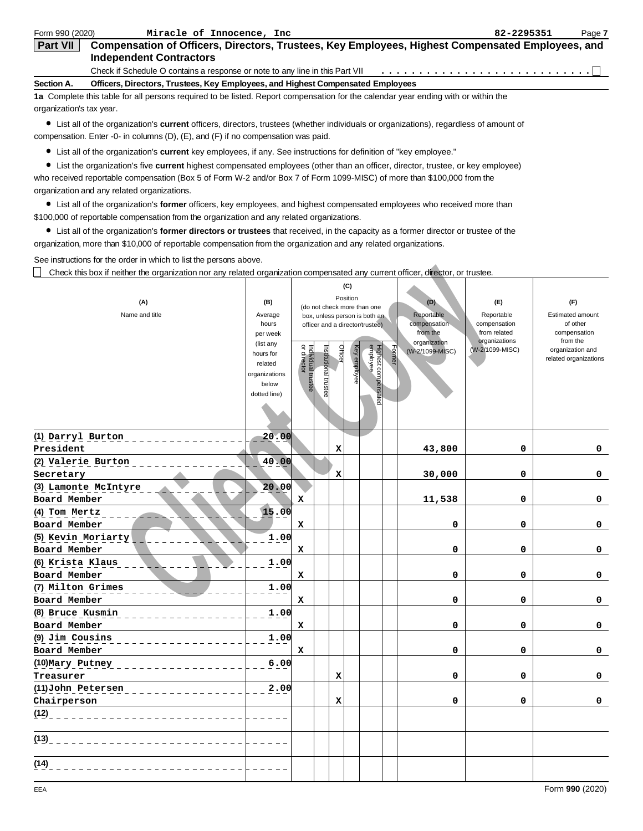| Form 990 (2020)          | Miracle of Innocence, Inc.                                                                                                         | 82-2295351 | Page 7 |
|--------------------------|------------------------------------------------------------------------------------------------------------------------------------|------------|--------|
| <b>Part VII</b>          | Compensation of Officers, Directors, Trustees, Key Employees, Highest Compensated Employees, and<br><b>Independent Contractors</b> |            |        |
|                          | Check if Schedule O contains a response or note to any line in this Part VII                                                       |            |        |
| Section A.               | Officers, Directors, Trustees, Key Employees, and Highest Compensated Employees                                                    |            |        |
|                          | 1a Complete this table for all persons required to be listed. Report compensation for the calendar year ending with or within the  |            |        |
| organization's tax year. |                                                                                                                                    |            |        |

List all of the organization's **current** officers, directors, trustees (whether individuals or organizations), regardless of amount of compensation. Enter -0- in columns (D), (E), and (F) if no compensation was paid.

List all of the organization's **current** key employees, if any. See instructions for definition of "key employee."

List the organization's five **current** highest compensated employees (other than an officer, director, trustee, or key employee) who received reportable compensation (Box 5 of Form W-2 and/or Box 7 of Form 1099-MISC) of more than \$100,000 from the organization and any related organizations.

List all of the organization's **former** officers, key employees, and highest compensated employees who received more than \$100,000 of reportable compensation from the organization and any related organizations.

List all of the organization's **former directors or trustees** that received, in the capacity as a former director or trustee of the organization, more than \$10,000 of reportable compensation from the organization and any related organizations.

See instructions for the order in which to list the persons above.

| Check this box if neither the organization nor any related organization compensated any current officer, director, or trustee. |                                                                                                                    |                                     |                                 |         |                                 |                                                                                                                                    |        |                                                                                  |                                                                                       |                                                                                                              |
|--------------------------------------------------------------------------------------------------------------------------------|--------------------------------------------------------------------------------------------------------------------|-------------------------------------|---------------------------------|---------|---------------------------------|------------------------------------------------------------------------------------------------------------------------------------|--------|----------------------------------------------------------------------------------|---------------------------------------------------------------------------------------|--------------------------------------------------------------------------------------------------------------|
| (A)<br>Name and title                                                                                                          | (B)<br>Average<br>hours<br>per week<br>(list any<br>hours for<br>related<br>organizations<br>below<br>dotted line) | q<br>Individual trustee<br>director | Institutional trust<br><b>G</b> | Officer | (C)<br>Position<br>Key employee | (do not check more than one<br>box, unless person is both an<br>officer and a director/trustee)<br>Highest compensated<br>employee | Former | (D)<br>Reportable<br>compensation<br>from the<br>organization<br>(W-2/1099-MISC) | (F)<br>Reportable<br>compensation<br>from related<br>organizations<br>(W-2/1099-MISC) | (F)<br>Estimated amount<br>of other<br>compensation<br>from the<br>organization and<br>related organizations |
| (1) Darryl Burton<br>President                                                                                                 | 20.00                                                                                                              |                                     |                                 | x       |                                 |                                                                                                                                    |        | 43,800                                                                           | 0                                                                                     | 0                                                                                                            |
| (2) Valerie Burton<br>Secretary                                                                                                | 40.00                                                                                                              |                                     |                                 | x       |                                 |                                                                                                                                    |        | 30,000                                                                           | 0                                                                                     | 0                                                                                                            |
| (3) Lamonte McIntyre<br>Board Member                                                                                           | 20.00                                                                                                              | $\mathbf x$                         |                                 |         |                                 |                                                                                                                                    |        | 11,538                                                                           | 0                                                                                     | 0                                                                                                            |
| (4) Tom Mertz<br>Board Member                                                                                                  | 15.00                                                                                                              | x                                   |                                 |         |                                 |                                                                                                                                    |        | 0                                                                                | 0                                                                                     | 0                                                                                                            |
| (5) Kevin Moriarty<br>Board Member                                                                                             | 1.00                                                                                                               | X                                   |                                 |         |                                 |                                                                                                                                    |        | 0                                                                                | 0                                                                                     | 0                                                                                                            |
| (6) Krista Klaus<br>Board Member                                                                                               | 1.00                                                                                                               | $\mathbf x$                         |                                 |         |                                 |                                                                                                                                    |        | $\mathbf 0$                                                                      | $\mathbf 0$                                                                           | 0                                                                                                            |
| (7) Milton Grimes<br>Board Member                                                                                              | 1.00                                                                                                               | x                                   |                                 |         |                                 |                                                                                                                                    |        | 0                                                                                | 0                                                                                     | 0                                                                                                            |
| (8) Bruce Kusmin<br>Board Member                                                                                               | 1.00                                                                                                               | x                                   |                                 |         |                                 |                                                                                                                                    |        | 0                                                                                | 0                                                                                     | 0                                                                                                            |
| (9) Jim Cousins<br>Board Member                                                                                                | 1.00                                                                                                               | x                                   |                                 |         |                                 |                                                                                                                                    |        | 0                                                                                | 0                                                                                     | 0                                                                                                            |
| (10) Mary Putney<br>Treasurer                                                                                                  | 6.00                                                                                                               |                                     |                                 | x       |                                 |                                                                                                                                    |        | 0                                                                                | 0                                                                                     | 0                                                                                                            |
| (11) John Petersen<br>Chairperson                                                                                              | 2.00                                                                                                               |                                     |                                 | x       |                                 |                                                                                                                                    |        | 0                                                                                | 0                                                                                     | 0                                                                                                            |
| (12)                                                                                                                           |                                                                                                                    |                                     |                                 |         |                                 |                                                                                                                                    |        |                                                                                  |                                                                                       |                                                                                                              |
| (13)                                                                                                                           |                                                                                                                    |                                     |                                 |         |                                 |                                                                                                                                    |        |                                                                                  |                                                                                       |                                                                                                              |
| (14)                                                                                                                           |                                                                                                                    |                                     |                                 |         |                                 |                                                                                                                                    |        |                                                                                  |                                                                                       |                                                                                                              |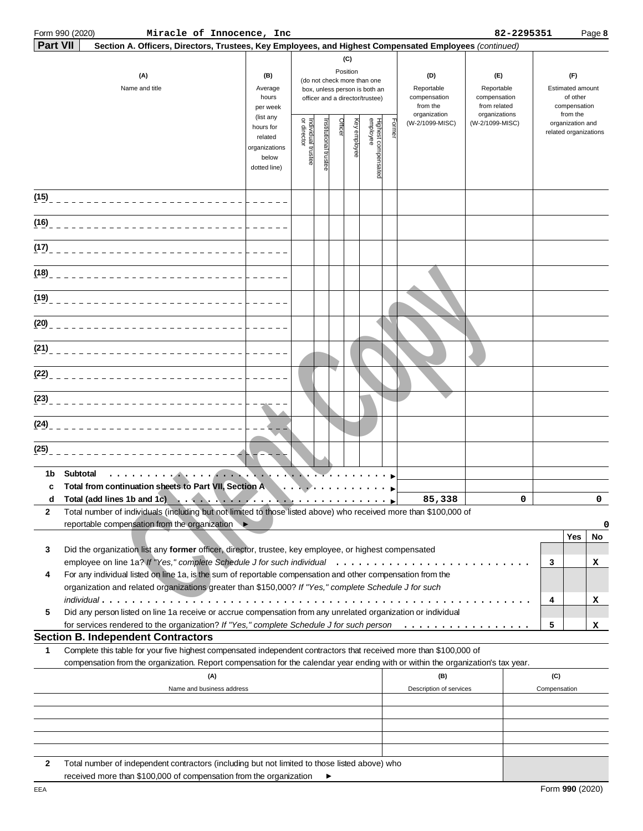|                 | Form 990 (2020)<br>Miracle of Innocence, Inc                                                                                                                                                                         |                                                                |                                   |                       |         |                 |                                                                                                 |       |                                                               | 82-2295351                                                         |                                                                 |                                           | Page 8   |
|-----------------|----------------------------------------------------------------------------------------------------------------------------------------------------------------------------------------------------------------------|----------------------------------------------------------------|-----------------------------------|-----------------------|---------|-----------------|-------------------------------------------------------------------------------------------------|-------|---------------------------------------------------------------|--------------------------------------------------------------------|-----------------------------------------------------------------|-------------------------------------------|----------|
| <b>Part VII</b> | Section A. Officers, Directors, Trustees, Key Employees, and Highest Compensated Employees (continued)                                                                                                               |                                                                |                                   |                       |         |                 |                                                                                                 |       |                                                               |                                                                    |                                                                 |                                           |          |
|                 | (A)<br>Name and title                                                                                                                                                                                                | (B)<br>Average<br>hours<br>per week<br>(list any               |                                   |                       |         | (C)<br>Position | (do not check more than one<br>box, unless person is both an<br>officer and a director/trustee) |       | (D)<br>Reportable<br>compensation<br>from the<br>organization | (E)<br>Reportable<br>compensation<br>from related<br>organizations | (F)<br>Estimated amount<br>of other<br>compensation<br>from the |                                           |          |
|                 |                                                                                                                                                                                                                      | hours for<br>related<br>organizations<br>below<br>dotted line) | Individual trustee<br>or director | Institutional trustee | Officer | eyelqida<br>A   | Highest compensated<br>employee                                                                 | Forme | (W-2/1099-MISC)                                               | (W-2/1099-MISC)                                                    |                                                                 | organization and<br>related organizations |          |
|                 |                                                                                                                                                                                                                      |                                                                |                                   |                       |         |                 |                                                                                                 |       |                                                               |                                                                    |                                                                 |                                           |          |
| (16)            |                                                                                                                                                                                                                      |                                                                |                                   |                       |         |                 |                                                                                                 |       |                                                               |                                                                    |                                                                 |                                           |          |
| (17)            |                                                                                                                                                                                                                      |                                                                |                                   |                       |         |                 |                                                                                                 |       |                                                               |                                                                    |                                                                 |                                           |          |
| (18)            |                                                                                                                                                                                                                      |                                                                |                                   |                       |         |                 |                                                                                                 |       |                                                               |                                                                    |                                                                 |                                           |          |
| (19)            |                                                                                                                                                                                                                      |                                                                |                                   |                       |         |                 |                                                                                                 |       |                                                               |                                                                    |                                                                 |                                           |          |
| (20)            |                                                                                                                                                                                                                      |                                                                |                                   |                       |         |                 |                                                                                                 |       |                                                               |                                                                    |                                                                 |                                           |          |
|                 |                                                                                                                                                                                                                      |                                                                |                                   |                       |         |                 |                                                                                                 |       |                                                               |                                                                    |                                                                 |                                           |          |
|                 |                                                                                                                                                                                                                      |                                                                |                                   |                       |         |                 |                                                                                                 |       |                                                               |                                                                    |                                                                 |                                           |          |
|                 |                                                                                                                                                                                                                      |                                                                |                                   |                       |         |                 |                                                                                                 |       |                                                               |                                                                    |                                                                 |                                           |          |
| (24)            |                                                                                                                                                                                                                      |                                                                |                                   |                       |         |                 |                                                                                                 |       |                                                               |                                                                    |                                                                 |                                           |          |
| (25)            |                                                                                                                                                                                                                      |                                                                |                                   |                       |         |                 |                                                                                                 |       |                                                               |                                                                    |                                                                 |                                           |          |
| 1b<br>c         | Subtotal<br>. <b>.</b><br>Total from continuation sheets to Part VII, Section A                                                                                                                                      |                                                                |                                   |                       |         |                 |                                                                                                 |       |                                                               |                                                                    |                                                                 |                                           |          |
|                 | d Total (add lines 1b and 1c)                                                                                                                                                                                        |                                                                |                                   |                       |         |                 |                                                                                                 |       | 85,338                                                        | $\Omega$                                                           |                                                                 |                                           | $\Omega$ |
| 2               | Total number of individuals (including but not limited to those listed above) who received more than \$100,000 of<br>reportable compensation from the organization ▶                                                 |                                                                |                                   |                       |         |                 |                                                                                                 |       |                                                               |                                                                    |                                                                 |                                           | 0        |
| 3               | Did the organization list any former officer, director, trustee, key employee, or highest compensated                                                                                                                |                                                                |                                   |                       |         |                 |                                                                                                 |       |                                                               |                                                                    |                                                                 | Yes                                       | No       |
| 4               | For any individual listed on line 1a, is the sum of reportable compensation and other compensation from the<br>organization and related organizations greater than \$150,000? If "Yes," complete Schedule J for such |                                                                |                                   |                       |         |                 |                                                                                                 |       |                                                               |                                                                    | 3                                                               |                                           | х        |
| 5               | $indivial$ ual<br>Did any person listed on line 1a receive or accrue compensation from any unrelated organization or individual                                                                                      |                                                                |                                   |                       |         |                 |                                                                                                 |       |                                                               |                                                                    | 4                                                               |                                           | x        |
|                 | for services rendered to the organization? If "Yes," complete Schedule J for such person                                                                                                                             |                                                                |                                   |                       |         |                 |                                                                                                 |       |                                                               |                                                                    | 5                                                               |                                           | x        |
| 1               | <b>Section B. Independent Contractors</b><br>Complete this table for your five highest compensated independent contractors that received more than \$100,000 of                                                      |                                                                |                                   |                       |         |                 |                                                                                                 |       |                                                               |                                                                    |                                                                 |                                           |          |
|                 | compensation from the organization. Report compensation for the calendar year ending with or within the organization's tax year.<br>(A)                                                                              |                                                                |                                   |                       |         |                 |                                                                                                 |       | (B)                                                           |                                                                    | (C)                                                             |                                           |          |
|                 | Name and business address                                                                                                                                                                                            |                                                                |                                   |                       |         |                 |                                                                                                 |       | Description of services                                       |                                                                    | Compensation                                                    |                                           |          |
|                 |                                                                                                                                                                                                                      |                                                                |                                   |                       |         |                 |                                                                                                 |       |                                                               |                                                                    |                                                                 |                                           |          |
|                 |                                                                                                                                                                                                                      |                                                                |                                   |                       |         |                 |                                                                                                 |       |                                                               |                                                                    |                                                                 |                                           |          |
| 2               | Total number of independent contractors (including but not limited to those listed above) who                                                                                                                        |                                                                |                                   |                       |         |                 |                                                                                                 |       |                                                               |                                                                    |                                                                 |                                           |          |

| received more than \$100,000 of compensation from the organization |  |
|--------------------------------------------------------------------|--|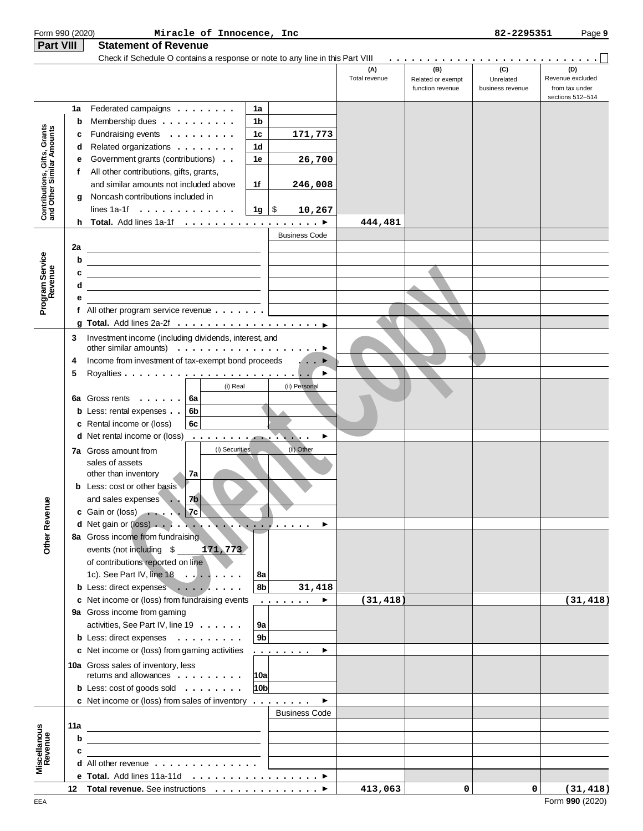| Form 990 (2020)                                           |     | Miracle of Innocence, Inc                                                                                            |                      |                      |                      |                                              | 82-2295351                           | Page 9                                                        |
|-----------------------------------------------------------|-----|----------------------------------------------------------------------------------------------------------------------|----------------------|----------------------|----------------------|----------------------------------------------|--------------------------------------|---------------------------------------------------------------|
| Part VIII                                                 |     | <b>Statement of Revenue</b>                                                                                          |                      |                      |                      |                                              |                                      |                                                               |
|                                                           |     | Check if Schedule O contains a response or note to any line in this Part VIII                                        |                      |                      |                      |                                              |                                      |                                                               |
|                                                           |     |                                                                                                                      |                      |                      | (A)<br>Total revenue | (B)<br>Related or exempt<br>function revenue | (C)<br>Unrelated<br>business revenue | (D)<br>Revenue excluded<br>from tax under<br>sections 512-514 |
|                                                           | 1a  | Federated campaigns                                                                                                  | 1a                   |                      |                      |                                              |                                      |                                                               |
|                                                           | b   | Membership dues                                                                                                      | 1b                   |                      |                      |                                              |                                      |                                                               |
| Contributions, Gifts, Grants<br>and Other Similar Amounts | c   | Fundraising events                                                                                                   | 1c                   | 171,773              |                      |                                              |                                      |                                                               |
|                                                           | d   | Related organizations                                                                                                | 1d                   |                      |                      |                                              |                                      |                                                               |
|                                                           | е   | Government grants (contributions)                                                                                    | 1e                   | 26,700               |                      |                                              |                                      |                                                               |
|                                                           | f   | All other contributions, gifts, grants,                                                                              |                      |                      |                      |                                              |                                      |                                                               |
|                                                           |     | and similar amounts not included above                                                                               | 1f                   | 246,008              |                      |                                              |                                      |                                                               |
|                                                           | g   | Noncash contributions included in                                                                                    |                      |                      |                      |                                              |                                      |                                                               |
|                                                           |     | lines $1a-1f \ldots \ldots \ldots$                                                                                   | 1g ∣\$               | 10,267               |                      |                                              |                                      |                                                               |
|                                                           | h.  |                                                                                                                      |                      |                      | 444,481              |                                              |                                      |                                                               |
|                                                           |     |                                                                                                                      |                      | <b>Business Code</b> |                      |                                              |                                      |                                                               |
|                                                           | 2a  |                                                                                                                      |                      |                      |                      |                                              |                                      |                                                               |
|                                                           | b   |                                                                                                                      |                      |                      |                      |                                              |                                      |                                                               |
|                                                           | c   |                                                                                                                      |                      |                      |                      |                                              |                                      |                                                               |
|                                                           | d   |                                                                                                                      |                      |                      |                      |                                              |                                      |                                                               |
| Program Service<br>Revenue                                | е   |                                                                                                                      |                      |                      |                      |                                              |                                      |                                                               |
|                                                           |     | f All other program service revenue $\ldots \ldots$                                                                  |                      |                      |                      |                                              |                                      |                                                               |
|                                                           |     |                                                                                                                      |                      |                      |                      |                                              |                                      |                                                               |
|                                                           | 3   | Investment income (including dividends, interest, and                                                                |                      |                      |                      |                                              |                                      |                                                               |
|                                                           |     | other similar amounts)                                                                                               |                      |                      |                      |                                              |                                      |                                                               |
|                                                           | 4   | Income from investment of tax-exempt bond proceeds                                                                   |                      |                      |                      |                                              |                                      |                                                               |
|                                                           | 5   |                                                                                                                      |                      |                      |                      |                                              |                                      |                                                               |
|                                                           |     | (i) Real                                                                                                             |                      | (ii) Personal        |                      |                                              |                                      |                                                               |
|                                                           |     | 6a Gross rents $\ldots$<br>6a                                                                                        |                      |                      |                      |                                              |                                      |                                                               |
|                                                           |     | <b>b</b> Less: rental expenses<br>6b<br>c Rental income or (loss)<br>6c                                              |                      |                      |                      |                                              |                                      |                                                               |
|                                                           |     | <b>d</b> Net rental income or (loss)                                                                                 |                      | ▶                    |                      |                                              |                                      |                                                               |
|                                                           |     | $\cdots \cdots \cdots \cdots \cdots \cdots \cdots \cdots \cdots$<br>(i) Securities                                   |                      | (ii) Other           |                      |                                              |                                      |                                                               |
|                                                           |     | <b>7a</b> Gross amount from<br>sales of assets                                                                       |                      |                      |                      |                                              |                                      |                                                               |
|                                                           |     | other than inventory<br>7a                                                                                           |                      |                      |                      |                                              |                                      |                                                               |
|                                                           |     | <b>b</b> Less: cost or other basis                                                                                   |                      |                      |                      |                                              |                                      |                                                               |
|                                                           |     | and sales expenses . 7b                                                                                              |                      |                      |                      |                                              |                                      |                                                               |
|                                                           |     | c Gain or (loss) 7c                                                                                                  |                      |                      |                      |                                              |                                      |                                                               |
| Other Revenue                                             |     |                                                                                                                      |                      | ►                    |                      |                                              |                                      |                                                               |
|                                                           |     | 8a Gross income from fundraising                                                                                     |                      |                      |                      |                                              |                                      |                                                               |
|                                                           |     | events (not including \$<br>171,773                                                                                  |                      |                      |                      |                                              |                                      |                                                               |
|                                                           |     | of contributions reported on line                                                                                    |                      |                      |                      |                                              |                                      |                                                               |
|                                                           |     | 1c). See Part IV, line $18 \ldots \ldots$                                                                            | 8a                   |                      |                      |                                              |                                      |                                                               |
|                                                           |     | b Less: direct expenses                                                                                              | 8 <sub>b</sub>       | 31,418               |                      |                                              |                                      |                                                               |
|                                                           |     | c Net income or (loss) from fundraising events                                                                       |                      | ►                    | (31, 418)            |                                              |                                      | (31, 418)                                                     |
|                                                           |     | 9a Gross income from gaming                                                                                          |                      |                      |                      |                                              |                                      |                                                               |
|                                                           |     | activities, See Part IV, line 19                                                                                     | 9а<br>9 <sub>b</sub> |                      |                      |                                              |                                      |                                                               |
|                                                           |     | <b>b</b> Less: direct expenses<br>c Net income or (loss) from gaming activities                                      |                      | ▶                    |                      |                                              |                                      |                                                               |
|                                                           |     |                                                                                                                      |                      | .                    |                      |                                              |                                      |                                                               |
|                                                           |     | 10a Gross sales of inventory, less<br>returns and allowances                                                         | 10a                  |                      |                      |                                              |                                      |                                                               |
|                                                           |     | <b>b</b> Less: cost of goods sold $\ldots$                                                                           | 10 <sub>b</sub>      |                      |                      |                                              |                                      |                                                               |
|                                                           |     | <b>c</b> Net income or (loss) from sales of inventory $\ldots \ldots \ldots$                                         |                      | ▶                    |                      |                                              |                                      |                                                               |
|                                                           |     |                                                                                                                      |                      | <b>Business Code</b> |                      |                                              |                                      |                                                               |
|                                                           | 11a |                                                                                                                      |                      |                      |                      |                                              |                                      |                                                               |
|                                                           | b   |                                                                                                                      |                      |                      |                      |                                              |                                      |                                                               |
|                                                           | c   | <u> 1989 - Andrea Station Barbara, politik eta provincia eta provincia eta provincia eta provincia eta provincia</u> |                      |                      |                      |                                              |                                      |                                                               |
| <b>Miscellanous</b><br>Revenue                            |     | <b>d</b> All other revenue $\ldots$ , $\ldots$ , $\ldots$ , $\ldots$                                                 |                      |                      |                      |                                              |                                      |                                                               |
|                                                           |     | e Total. Add lines 11a-11d ▶                                                                                         |                      |                      |                      |                                              |                                      |                                                               |
|                                                           |     | 12 Total revenue. See instructions ▶                                                                                 |                      |                      | 413,063              | 0                                            | 0                                    | (31, 418)                                                     |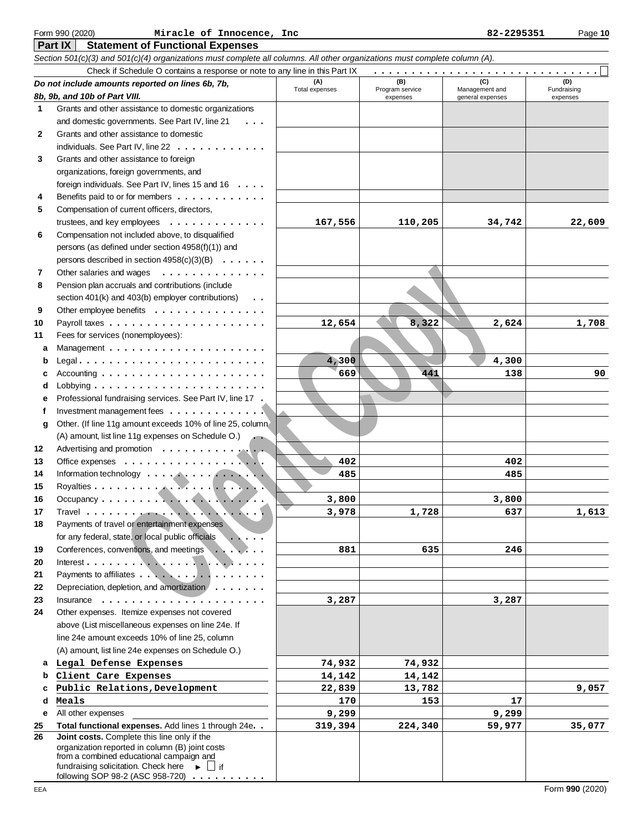| Section 501(c)(3) and 501(c)(4) organizations must complete all columns. All other organizations must complete column (A). |                                                                                             |                |                             |                                    |                         |  |  |  |  |  |  |
|----------------------------------------------------------------------------------------------------------------------------|---------------------------------------------------------------------------------------------|----------------|-----------------------------|------------------------------------|-------------------------|--|--|--|--|--|--|
| Check if Schedule O contains a response or note to any line in this Part IX                                                |                                                                                             |                |                             |                                    |                         |  |  |  |  |  |  |
|                                                                                                                            | Do not include amounts reported on lines 6b, 7b,                                            | (A)            | (B)                         | (D)                                |                         |  |  |  |  |  |  |
|                                                                                                                            | 8b, 9b, and 10b of Part VIII.                                                               | Total expenses | Program service<br>expenses | Management and<br>general expenses | Fundraising<br>expenses |  |  |  |  |  |  |
| 1                                                                                                                          | Grants and other assistance to domestic organizations                                       |                |                             |                                    |                         |  |  |  |  |  |  |
|                                                                                                                            | and domestic governments. See Part IV, line 21<br>$\cdots$                                  |                |                             |                                    |                         |  |  |  |  |  |  |
| 2                                                                                                                          | Grants and other assistance to domestic                                                     |                |                             |                                    |                         |  |  |  |  |  |  |
|                                                                                                                            | individuals. See Part IV, line 22                                                           |                |                             |                                    |                         |  |  |  |  |  |  |
| 3                                                                                                                          | Grants and other assistance to foreign                                                      |                |                             |                                    |                         |  |  |  |  |  |  |
|                                                                                                                            | organizations, foreign governments, and                                                     |                |                             |                                    |                         |  |  |  |  |  |  |
|                                                                                                                            | foreign individuals. See Part IV, lines 15 and 16                                           |                |                             |                                    |                         |  |  |  |  |  |  |
| 4                                                                                                                          | Benefits paid to or for members                                                             |                |                             |                                    |                         |  |  |  |  |  |  |
| 5                                                                                                                          | Compensation of current officers, directors,                                                |                |                             |                                    |                         |  |  |  |  |  |  |
|                                                                                                                            | trustees, and key employees $\dots \dots \dots \dots$                                       | 167,556        | 110,205                     | 34,742                             | 22,609                  |  |  |  |  |  |  |
| 6                                                                                                                          | Compensation not included above, to disqualified                                            |                |                             |                                    |                         |  |  |  |  |  |  |
|                                                                                                                            | persons (as defined under section 4958(f)(1)) and                                           |                |                             |                                    |                         |  |  |  |  |  |  |
|                                                                                                                            | persons described in section 4958(c)(3)(B)                                                  |                |                             |                                    |                         |  |  |  |  |  |  |
| 7                                                                                                                          | Other salaries and wages<br>.                                                               |                |                             |                                    |                         |  |  |  |  |  |  |
| 8                                                                                                                          | Pension plan accruals and contributions (include                                            |                |                             |                                    |                         |  |  |  |  |  |  |
|                                                                                                                            | section 401(k) and 403(b) employer contributions)<br>$\cdots$                               |                |                             |                                    |                         |  |  |  |  |  |  |
| 9                                                                                                                          | Other employee benefits                                                                     |                |                             |                                    |                         |  |  |  |  |  |  |
| 10                                                                                                                         |                                                                                             | 12,654         | 8,322                       | 2,624                              | 1,708                   |  |  |  |  |  |  |
| 11                                                                                                                         | Fees for services (nonemployees):                                                           |                |                             |                                    |                         |  |  |  |  |  |  |
| а                                                                                                                          |                                                                                             |                |                             |                                    |                         |  |  |  |  |  |  |
| b                                                                                                                          |                                                                                             | 4,300          |                             | 4,300                              |                         |  |  |  |  |  |  |
|                                                                                                                            | Accounting $\ldots \ldots \ldots \ldots \ldots \ldots \ldots$                               | 669            | 441                         | 138                                | 90                      |  |  |  |  |  |  |
| d                                                                                                                          | Lobbying $\ldots \ldots \ldots \ldots \ldots \ldots \ldots$                                 |                |                             |                                    |                         |  |  |  |  |  |  |
| е                                                                                                                          | Professional fundraising services. See Part IV, line 17.                                    |                |                             |                                    |                         |  |  |  |  |  |  |
|                                                                                                                            | Investment management fees                                                                  |                |                             |                                    |                         |  |  |  |  |  |  |
| g                                                                                                                          | Other. (If line 11g amount exceeds 10% of line 25, column                                   |                |                             |                                    |                         |  |  |  |  |  |  |
|                                                                                                                            | (A) amount, list line 11g expenses on Schedule O.)                                          |                |                             |                                    |                         |  |  |  |  |  |  |
| 12                                                                                                                         | Advertising and promotion                                                                   |                |                             |                                    |                         |  |  |  |  |  |  |
| 13                                                                                                                         |                                                                                             | 402            |                             | 402                                |                         |  |  |  |  |  |  |
| 14                                                                                                                         |                                                                                             | 485            |                             | 485                                |                         |  |  |  |  |  |  |
| 15                                                                                                                         |                                                                                             |                |                             |                                    |                         |  |  |  |  |  |  |
| 16                                                                                                                         |                                                                                             | 3,800          |                             | 3,800                              |                         |  |  |  |  |  |  |
| 17                                                                                                                         |                                                                                             | 3,978          | 1,728                       | 637                                | 1,613                   |  |  |  |  |  |  |
| 18                                                                                                                         | Payments of travel or entertainment expenses                                                |                |                             |                                    |                         |  |  |  |  |  |  |
|                                                                                                                            | for any federal, state, or local public officials                                           |                |                             |                                    |                         |  |  |  |  |  |  |
| 19                                                                                                                         | Conferences, conventions, and meetings                                                      | 881            | 635                         | 246                                |                         |  |  |  |  |  |  |
| 20                                                                                                                         |                                                                                             |                |                             |                                    |                         |  |  |  |  |  |  |
| 21                                                                                                                         | Payments to affiliates                                                                      |                |                             |                                    |                         |  |  |  |  |  |  |
| 22                                                                                                                         | Depreciation, depletion, and amortization                                                   |                |                             |                                    |                         |  |  |  |  |  |  |
| 23                                                                                                                         | Insurance $\ldots \ldots \ldots \ldots \ldots$                                              | 3,287          |                             | 3,287                              |                         |  |  |  |  |  |  |
| 24                                                                                                                         | Other expenses. Itemize expenses not covered                                                |                |                             |                                    |                         |  |  |  |  |  |  |
|                                                                                                                            | above (List miscellaneous expenses on line 24e. If                                          |                |                             |                                    |                         |  |  |  |  |  |  |
|                                                                                                                            | line 24e amount exceeds 10% of line 25, column                                              |                |                             |                                    |                         |  |  |  |  |  |  |
|                                                                                                                            | (A) amount, list line 24e expenses on Schedule O.)                                          |                |                             |                                    |                         |  |  |  |  |  |  |
|                                                                                                                            | a Legal Defense Expenses                                                                    | 74,932         | 74,932                      |                                    |                         |  |  |  |  |  |  |
| b                                                                                                                          | Client Care Expenses                                                                        | 14,142         | 14,142                      |                                    |                         |  |  |  |  |  |  |
|                                                                                                                            | Public Relations, Development                                                               | 22,839         | 13,782                      |                                    | 9,057                   |  |  |  |  |  |  |
| d                                                                                                                          | Meals                                                                                       | 170            | 153                         | 17                                 |                         |  |  |  |  |  |  |
| е                                                                                                                          | All other expenses                                                                          | 9,299          |                             | 9,299                              |                         |  |  |  |  |  |  |
| 25                                                                                                                         | Total functional expenses. Add lines 1 through 24e. .                                       | 319,394        | 224,340                     | 59,977                             | 35,077                  |  |  |  |  |  |  |
| 26                                                                                                                         | Joint costs. Complete this line only if the                                                 |                |                             |                                    |                         |  |  |  |  |  |  |
|                                                                                                                            | organization reported in column (B) joint costs<br>from a combined educational campaign and |                |                             |                                    |                         |  |  |  |  |  |  |
|                                                                                                                            | fundraising solicitation. Check here $\longrightarrow$ $\Box$ if                            |                |                             |                                    |                         |  |  |  |  |  |  |

following SOP 98-2 (ASC 958-720) . . . . . . . . . . .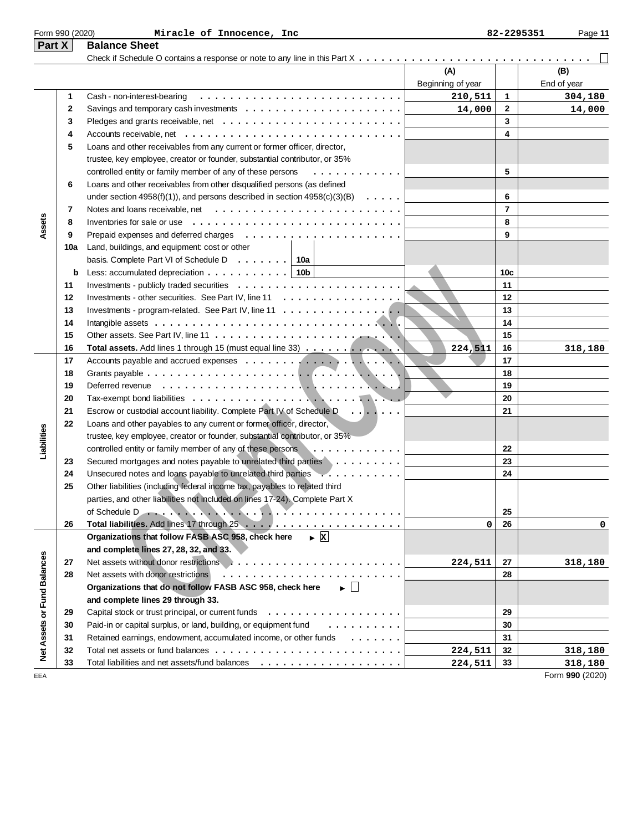| Part X                      |     | <b>Balance Sheet</b>                                                                                       |                          |                 |                    |
|-----------------------------|-----|------------------------------------------------------------------------------------------------------------|--------------------------|-----------------|--------------------|
|                             |     |                                                                                                            | (A)<br>Beginning of year |                 | (B)<br>End of year |
|                             | 1   | Cash - non-interest-bearing                                                                                | 210,511                  | $\mathbf{1}$    | 304,180            |
|                             | 2   | Savings and temporary cash investments $\dots \dots \dots \dots \dots \dots \dots \dots$                   | 14,000                   | $\mathbf{2}$    | 14,000             |
|                             | 3   |                                                                                                            |                          | 3               |                    |
|                             | 4   |                                                                                                            |                          | 4               |                    |
|                             | 5   | Loans and other receivables from any current or former officer, director,                                  |                          |                 |                    |
|                             |     | trustee, key employee, creator or founder, substantial contributor, or 35%                                 |                          |                 |                    |
|                             |     | controlled entity or family member of any of these persons<br>.                                            |                          | 5               |                    |
|                             | 6   | Loans and other receivables from other disqualified persons (as defined                                    |                          |                 |                    |
|                             |     | under section 4958(f)(1)), and persons described in section $4958(c)(3)(B) \ldots \ldots$                  |                          | 6               |                    |
|                             | 7   |                                                                                                            |                          | $\overline{7}$  |                    |
|                             | 8   | Inventories for sale or use $\ldots \ldots \ldots \ldots \ldots$                                           |                          | 8               |                    |
| Assets                      | 9   |                                                                                                            |                          | 9               |                    |
|                             | 10a |                                                                                                            |                          |                 |                    |
|                             |     | Land, buildings, and equipment: cost or other<br>basis. Complete Part VI of Schedule D $\ldots \ldots$ 10a |                          |                 |                    |
|                             |     |                                                                                                            |                          |                 |                    |
|                             | b   | Less: accumulated depreciation $\ldots$ ,    10b                                                           |                          | 10 <sub>c</sub> |                    |
|                             | 11  |                                                                                                            |                          | 11              |                    |
|                             | 12  | Investments - other securities. See Part IV, line 11                                                       |                          | 12              |                    |
|                             | 13  | Investments - program-related. See Part IV, line 11 $\dots$ ,                                              |                          | 13              |                    |
|                             | 14  |                                                                                                            |                          | 14              |                    |
|                             | 15  |                                                                                                            |                          | 15              |                    |
|                             | 16  | Total assets. Add lines 1 through 15 (must equal line 33)                                                  | 224,511                  | 16              | 318,180            |
|                             | 17  |                                                                                                            |                          | 17              |                    |
|                             | 18  |                                                                                                            |                          | 18              |                    |
|                             | 19  |                                                                                                            |                          | 19              |                    |
|                             | 20  |                                                                                                            |                          | 20              |                    |
|                             | 21  | Escrow or custodial account liability. Complete Part IV of Schedule D.                                     |                          | 21              |                    |
|                             | 22  | Loans and other payables to any current or former officer, director,                                       |                          |                 |                    |
|                             |     | trustee, key employee, creator or founder, substantial contributor, or 35%                                 |                          |                 |                    |
| Liabilities                 |     | controlled entity or family member of any of these persons<br>.                                            |                          | 22              |                    |
|                             | 23  | Secured mortgages and notes payable to unrelated third parties                                             |                          | 23              |                    |
|                             | 24  | Unsecured notes and loans payable to unrelated third parties                                               |                          | 24              |                    |
|                             | 25  | Other liabilities (including federal income tax, payables to related third                                 |                          |                 |                    |
|                             |     | parties, and other liabilities not included on lines 17-24). Complete Part X                               |                          |                 |                    |
|                             |     | of Schedule D                                                                                              |                          | 25              |                    |
|                             | 26  |                                                                                                            | 0                        | 26              | 0                  |
|                             |     | Organizations that follow FASB ASC 958, check here<br>$\blacktriangleright$ X                              |                          |                 |                    |
|                             |     | and complete lines 27, 28, 32, and 33.                                                                     |                          |                 |                    |
|                             | 27  |                                                                                                            | 224,511                  | 27              | 318,180            |
|                             | 28  | Net assets with donor restrictions                                                                         |                          | 28              |                    |
|                             |     | Organizations that do not follow FASB ASC 958, check here<br>$\blacktriangleright$ $\perp$                 |                          |                 |                    |
|                             |     | and complete lines 29 through 33.                                                                          |                          |                 |                    |
|                             | 29  |                                                                                                            |                          | 29              |                    |
|                             | 30  | Paid-in or capital surplus, or land, building, or equipment fund<br>.                                      |                          | 30              |                    |
|                             | 31  | Retained earnings, endowment, accumulated income, or other funds                                           |                          | 31              |                    |
| Net Assets or Fund Balances | 32  |                                                                                                            | 224,511                  | 32              | 318,180            |
|                             | 33  |                                                                                                            | 224,511                  | 33              | 318,180            |
| EEA                         |     |                                                                                                            |                          |                 | Form 990 (2020)    |

Form 990 (2020) Page **11 Miracle of Innocence, Inc 82-2295351**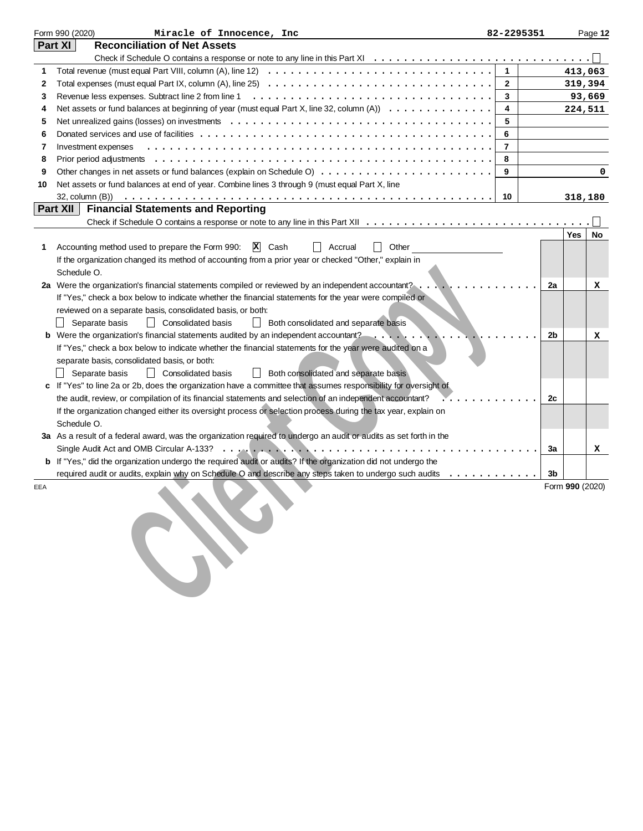|     | Form 990 (2020)<br>Miracle of Innocence, Inc                                                                                             | 82-2295351     |                 |         | Page 12 |
|-----|------------------------------------------------------------------------------------------------------------------------------------------|----------------|-----------------|---------|---------|
|     | <b>Reconciliation of Net Assets</b><br>Part XI                                                                                           |                |                 |         |         |
|     |                                                                                                                                          |                |                 |         |         |
| 1   | Total revenue (must equal Part VIII, column (A), line 12) $\ldots \ldots \ldots \ldots \ldots \ldots \ldots \ldots \ldots \ldots \ldots$ | $\mathbf{1}$   |                 | 413,063 |         |
| 2   | Total expenses (must equal Part IX, column (A), line 25) $\ldots$ ,                                                                      | $\mathbf{2}$   |                 |         | 319,394 |
| 3   |                                                                                                                                          | 3              |                 |         | 93,669  |
| 4   | Net assets or fund balances at beginning of year (must equal Part X, line 32, column (A))                                                | 4              |                 |         | 224,511 |
| 5   |                                                                                                                                          | 5              |                 |         |         |
| 6   |                                                                                                                                          | 6              |                 |         |         |
| 7   | Investment expenses                                                                                                                      | $\overline{7}$ |                 |         |         |
| 8   |                                                                                                                                          | 8              |                 |         |         |
| 9   |                                                                                                                                          | 9              |                 |         | 0       |
| 10  | Net assets or fund balances at end of year. Combine lines 3 through 9 (must equal Part X, line                                           |                |                 |         |         |
|     |                                                                                                                                          | 10             |                 | 318,180 |         |
|     | Part XII<br><b>Financial Statements and Reporting</b>                                                                                    |                |                 |         |         |
|     |                                                                                                                                          |                |                 |         |         |
|     |                                                                                                                                          |                |                 | Yes     | No      |
| 1   | Accounting method used to prepare the Form 990:<br>$ X $ Cash<br>Other<br>Accrual                                                        |                |                 |         |         |
|     | If the organization changed its method of accounting from a prior year or checked "Other," explain in                                    |                |                 |         |         |
|     | Schedule O.                                                                                                                              |                |                 |         |         |
|     | 2a Were the organization's financial statements compiled or reviewed by an independent accountant?                                       |                | 2a              |         | x       |
|     | If "Yes," check a box below to indicate whether the financial statements for the year were compiled or                                   |                |                 |         |         |
|     | reviewed on a separate basis, consolidated basis, or both:                                                                               |                |                 |         |         |
|     | Separate basis<br>  Consolidated basis<br>  Both consolidated and separate basis                                                         |                |                 |         |         |
|     | <b>b</b> Were the organization's financial statements audited by an independent accountant?                                              |                | 2b              |         | x       |
|     | If "Yes," check a box below to indicate whether the financial statements for the year were audited on a                                  |                |                 |         |         |
|     | separate basis, consolidated basis, or both:                                                                                             |                |                 |         |         |
|     | Both consolidated and separate basis<br>Separate basis<br>    Consolidated basis                                                         |                |                 |         |         |
|     | c If "Yes" to line 2a or 2b, does the organization have a committee that assumes responsibility for oversight of                         |                |                 |         |         |
|     | the audit, review, or compilation of its financial statements and selection of an independent accountant?                                |                | 2c              |         |         |
|     | If the organization changed either its oversight process or selection process during the tax year, explain on<br>Schedule O.             |                |                 |         |         |
|     | 3a As a result of a federal award, was the organization required to undergo an audit or audits as set forth in the                       |                |                 |         |         |
|     | Single Audit Act and OMB Circular A-133?                                                                                                 |                | 3a              |         |         |
|     | b If "Yes," did the organization undergo the required audit or audits? If the organization did not undergo the                           |                |                 |         | x       |
|     | required audit or audits, explain why on Schedule O and describe any steps taken to undergo such audits                                  |                | 3b              |         |         |
| EEA |                                                                                                                                          |                | Form 990 (2020) |         |         |
|     |                                                                                                                                          |                |                 |         |         |
|     |                                                                                                                                          |                |                 |         |         |
|     |                                                                                                                                          |                |                 |         |         |
|     |                                                                                                                                          |                |                 |         |         |
|     |                                                                                                                                          |                |                 |         |         |
|     |                                                                                                                                          |                |                 |         |         |
|     |                                                                                                                                          |                |                 |         |         |
|     |                                                                                                                                          |                |                 |         |         |
|     |                                                                                                                                          |                |                 |         |         |
|     |                                                                                                                                          |                |                 |         |         |
|     |                                                                                                                                          |                |                 |         |         |
|     |                                                                                                                                          |                |                 |         |         |
|     |                                                                                                                                          |                |                 |         |         |
|     |                                                                                                                                          |                |                 |         |         |
|     |                                                                                                                                          |                |                 |         |         |
|     |                                                                                                                                          |                |                 |         |         |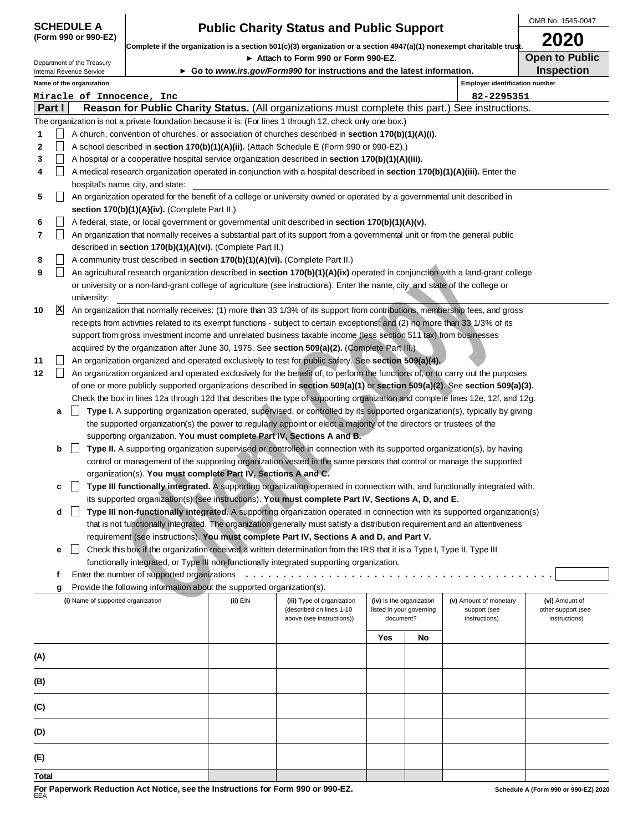| <b>SCHEDULE A</b>   |  |  |
|---------------------|--|--|
| (Form 990 or 990-E2 |  |  |

|              |             | <b>SCHEDULE A</b>                                      |                                                                                     |          |                                                                                                                                                                                                                                                              |                                                                   |    |                                                         | OMB No. 1545-0047                                     |
|--------------|-------------|--------------------------------------------------------|-------------------------------------------------------------------------------------|----------|--------------------------------------------------------------------------------------------------------------------------------------------------------------------------------------------------------------------------------------------------------------|-------------------------------------------------------------------|----|---------------------------------------------------------|-------------------------------------------------------|
|              |             | (Form 990 or 990-EZ)                                   |                                                                                     |          | <b>Public Charity Status and Public Support</b><br>Complete if the organization is a section 501(c)(3) organization or a section 4947(a)(1) nonexempt charitable trust.                                                                                      |                                                                   |    |                                                         | 2020                                                  |
|              |             |                                                        |                                                                                     |          | Attach to Form 990 or Form 990-EZ.                                                                                                                                                                                                                           |                                                                   |    |                                                         | <b>Open to Public</b>                                 |
|              |             | Department of the Treasury<br>Internal Revenue Service |                                                                                     |          | Go to www.irs.gov/Form990 for instructions and the latest information.                                                                                                                                                                                       |                                                                   |    |                                                         | <b>Inspection</b>                                     |
|              |             | Name of the organization                               |                                                                                     |          |                                                                                                                                                                                                                                                              |                                                                   |    | <b>Employer identification number</b>                   |                                                       |
|              | Part I      | Miracle of Innocence, Inc                              |                                                                                     |          |                                                                                                                                                                                                                                                              |                                                                   |    | 82-2295351                                              |                                                       |
|              |             |                                                        |                                                                                     |          | Reason for Public Charity Status. (All organizations must complete this part.) See instructions.<br>The organization is not a private foundation because it is: (For lines 1 through 12, check only one box.)                                                |                                                                   |    |                                                         |                                                       |
| 1            |             |                                                        |                                                                                     |          | A church, convention of churches, or association of churches described in section 170(b)(1)(A)(i).                                                                                                                                                           |                                                                   |    |                                                         |                                                       |
| $\mathbf{2}$ |             |                                                        |                                                                                     |          | A school described in section 170(b)(1)(A)(ii). (Attach Schedule E (Form 990 or 990-EZ).)                                                                                                                                                                    |                                                                   |    |                                                         |                                                       |
| 3            |             |                                                        |                                                                                     |          | A hospital or a cooperative hospital service organization described in section 170(b)(1)(A)(iii).                                                                                                                                                            |                                                                   |    |                                                         |                                                       |
| 4            |             |                                                        |                                                                                     |          | A medical research organization operated in conjunction with a hospital described in section 170(b)(1)(A)(iii). Enter the                                                                                                                                    |                                                                   |    |                                                         |                                                       |
|              |             |                                                        | hospital's name, city, and state:                                                   |          |                                                                                                                                                                                                                                                              |                                                                   |    |                                                         |                                                       |
| 5            |             |                                                        |                                                                                     |          | An organization operated for the benefit of a college or university owned or operated by a governmental unit described in                                                                                                                                    |                                                                   |    |                                                         |                                                       |
| 6            |             |                                                        | section 170(b)(1)(A)(iv). (Complete Part II.)                                       |          | A federal, state, or local government or governmental unit described in section 170(b)(1)(A)(v).                                                                                                                                                             |                                                                   |    |                                                         |                                                       |
| 7            |             |                                                        |                                                                                     |          | An organization that normally receives a substantial part of its support from a governmental unit or from the general public                                                                                                                                 |                                                                   |    |                                                         |                                                       |
|              |             |                                                        | described in section 170(b)(1)(A)(vi). (Complete Part II.)                          |          |                                                                                                                                                                                                                                                              |                                                                   |    |                                                         |                                                       |
| 8            |             |                                                        | A community trust described in <b>section 170(b)(1)(A)(vi).</b> (Complete Part II.) |          |                                                                                                                                                                                                                                                              |                                                                   |    |                                                         |                                                       |
| 9            |             |                                                        |                                                                                     |          | An agricultural research organization described in section 170(b)(1)(A)(ix) operated in conjunction with a land-grant college                                                                                                                                |                                                                   |    |                                                         |                                                       |
|              |             |                                                        |                                                                                     |          | or university or a non-land-grant college of agriculture (see instructions). Enter the name, city, and state of the college or                                                                                                                               |                                                                   |    |                                                         |                                                       |
|              |             | university:                                            |                                                                                     |          |                                                                                                                                                                                                                                                              |                                                                   |    |                                                         |                                                       |
| 10           | $ {\bf x} $ |                                                        |                                                                                     |          | An organization that normally receives: (1) more than 33 1/3% of its support from contributions, membership fees, and gross<br>receipts from activities related to its exempt functions - subject to certain exceptions; and (2) no more than 33 1/3% of its |                                                                   |    |                                                         |                                                       |
|              |             |                                                        |                                                                                     |          | support from gross investment income and unrelated business taxable income (less section 511 tax) from businesses                                                                                                                                            |                                                                   |    |                                                         |                                                       |
|              |             |                                                        |                                                                                     |          | acquired by the organization after June 30, 1975. See section 509(a)(2). (Complete Part III.)                                                                                                                                                                |                                                                   |    |                                                         |                                                       |
| 11           |             |                                                        |                                                                                     |          | An organization organized and operated exclusively to test for public safety. See section 509(a)(4).                                                                                                                                                         |                                                                   |    |                                                         |                                                       |
| 12           |             |                                                        |                                                                                     |          | An organization organized and operated exclusively for the benefit of, to perform the functions of, or to carry out the purposes                                                                                                                             |                                                                   |    |                                                         |                                                       |
|              |             |                                                        |                                                                                     |          | of one or more publicly supported organizations described in section 509(a)(1) or section 509(a)(2). See section 509(a)(3).                                                                                                                                  |                                                                   |    |                                                         |                                                       |
|              |             |                                                        |                                                                                     |          | Check the box in lines 12a through 12d that describes the type of supporting organization and complete lines 12e, 12f, and 12g.                                                                                                                              |                                                                   |    |                                                         |                                                       |
|              | a           |                                                        |                                                                                     |          | Type I. A supporting organization operated, supervised, or controlled by its supported organization(s), typically by giving<br>the supported organization(s) the power to regularly appoint or elect a majority of the directors or trustees of the          |                                                                   |    |                                                         |                                                       |
|              |             |                                                        |                                                                                     |          | supporting organization. You must complete Part IV, Sections A and B.                                                                                                                                                                                        |                                                                   |    |                                                         |                                                       |
|              | b           |                                                        |                                                                                     |          | Type II. A supporting organization supervised or controlled in connection with its supported organization(s), by having                                                                                                                                      |                                                                   |    |                                                         |                                                       |
|              |             |                                                        |                                                                                     |          | control or management of the supporting organization vested in the same persons that control or manage the supported                                                                                                                                         |                                                                   |    |                                                         |                                                       |
|              |             |                                                        | organization(s). You must complete Part IV, Sections A and C.                       |          |                                                                                                                                                                                                                                                              |                                                                   |    |                                                         |                                                       |
|              | с           |                                                        |                                                                                     |          | Type III functionally integrated. A supporting organization operated in connection with, and functionally integrated with,                                                                                                                                   |                                                                   |    |                                                         |                                                       |
|              |             |                                                        |                                                                                     |          | its supported organization(s) (see instructions). You must complete Part IV, Sections A, D, and E.                                                                                                                                                           |                                                                   |    |                                                         |                                                       |
|              | d           |                                                        |                                                                                     |          | Type III non-functionally integrated. A supporting organization operated in connection with its supported organization(s)<br>that is not functionally integrated. The organization generally must satisfy a distribution requirement and an attentiveness    |                                                                   |    |                                                         |                                                       |
|              |             |                                                        |                                                                                     |          | requirement (see instructions). You must complete Part IV, Sections A and D, and Part V.                                                                                                                                                                     |                                                                   |    |                                                         |                                                       |
|              | е           |                                                        |                                                                                     |          | Check this box if the organization received a written determination from the IRS that it is a Type I, Type II, Type III                                                                                                                                      |                                                                   |    |                                                         |                                                       |
|              |             |                                                        |                                                                                     |          | functionally integrated, or Type III non-functionally integrated supporting organization.                                                                                                                                                                    |                                                                   |    |                                                         |                                                       |
|              | f           |                                                        |                                                                                     |          | Enter the number of supported organizations $\cdots \cdots \cdots \cdots \cdots \cdots \cdots \cdots$                                                                                                                                                        |                                                                   |    |                                                         |                                                       |
|              | g           |                                                        | Provide the following information about the supported organization(s).              |          |                                                                                                                                                                                                                                                              |                                                                   |    |                                                         |                                                       |
|              |             | (i) Name of supported organization                     |                                                                                     | (ii) EIN | (iii) Type of organization<br>(described on lines 1-10<br>above (see instructions))                                                                                                                                                                          | (iv) Is the organization<br>listed in your governing<br>document? |    | (v) Amount of monetary<br>support (see<br>instructions) | (vi) Amount of<br>other support (see<br>instructions) |
|              |             |                                                        |                                                                                     |          |                                                                                                                                                                                                                                                              | Yes                                                               | No |                                                         |                                                       |
|              |             |                                                        |                                                                                     |          |                                                                                                                                                                                                                                                              |                                                                   |    |                                                         |                                                       |
| (A)          |             |                                                        |                                                                                     |          |                                                                                                                                                                                                                                                              |                                                                   |    |                                                         |                                                       |
| (B)          |             |                                                        |                                                                                     |          |                                                                                                                                                                                                                                                              |                                                                   |    |                                                         |                                                       |

|  | c<br>Type III functionally integrated. A supporting organization operated in connection with, and functionally integrated with, |  |  |  |
|--|---------------------------------------------------------------------------------------------------------------------------------|--|--|--|
|  | its supported organization(s) (see instructions). You must complete Part IV, Sections A, D, and E.                              |  |  |  |

|                                    | Enter the number of supported organizations                            |                                                                                                              |  |                                                      |                                                         |                                                       |  |
|------------------------------------|------------------------------------------------------------------------|--------------------------------------------------------------------------------------------------------------|--|------------------------------------------------------|---------------------------------------------------------|-------------------------------------------------------|--|
| g                                  | Provide the following information about the supported organization(s). |                                                                                                              |  |                                                      |                                                         |                                                       |  |
| (i) Name of supported organization |                                                                        | (ii) EIN<br>(iii) Type of organization<br>(described on lines 1-10<br>above (see instructions))<br>document? |  | (iv) Is the organization<br>listed in your governing | (v) Amount of monetary<br>support (see<br>instructions) | (vi) Amount of<br>other support (see<br>instructions) |  |
|                                    |                                                                        |                                                                                                              |  | <b>Yes</b>                                           | No                                                      |                                                       |  |
| (A)                                |                                                                        |                                                                                                              |  |                                                      |                                                         |                                                       |  |
| (B)                                |                                                                        |                                                                                                              |  |                                                      |                                                         |                                                       |  |
| (C)                                |                                                                        |                                                                                                              |  |                                                      |                                                         |                                                       |  |
| (D)                                |                                                                        |                                                                                                              |  |                                                      |                                                         |                                                       |  |
| (E)                                |                                                                        |                                                                                                              |  |                                                      |                                                         |                                                       |  |
| Total                              |                                                                        |                                                                                                              |  |                                                      |                                                         |                                                       |  |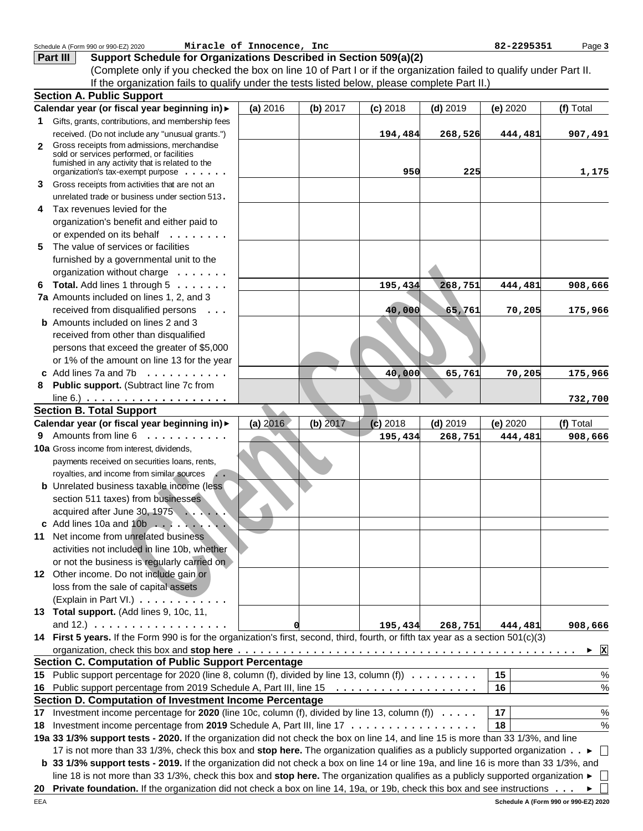|              | Schedule A (Form 990 or 990-EZ) 2020                                                                                                  | Miracle of Innocence, Inc |            |            |            | 82-2295351                                                                                                                    | Page 3            |
|--------------|---------------------------------------------------------------------------------------------------------------------------------------|---------------------------|------------|------------|------------|-------------------------------------------------------------------------------------------------------------------------------|-------------------|
|              | Support Schedule for Organizations Described in Section 509(a)(2)<br>Part III                                                         |                           |            |            |            |                                                                                                                               |                   |
|              | (Complete only if you checked the box on line 10 of Part I or if the organization failed to qualify under Part II.                    |                           |            |            |            |                                                                                                                               |                   |
|              | If the organization fails to qualify under the tests listed below, please complete Part II.)                                          |                           |            |            |            |                                                                                                                               |                   |
|              | <b>Section A. Public Support</b>                                                                                                      |                           |            |            |            |                                                                                                                               |                   |
|              | Calendar year (or fiscal year beginning in) >                                                                                         | (a) 2016                  | (b) 2017   | $(c)$ 2018 | $(d)$ 2019 | (e) 2020                                                                                                                      | (f) Total         |
|              | 1 Gifts, grants, contributions, and membership fees                                                                                   |                           |            |            |            |                                                                                                                               |                   |
|              | received. (Do not include any "unusual grants.")                                                                                      |                           |            | 194,484    | 268,526    | 444,481                                                                                                                       | 907,491           |
| $\mathbf{2}$ | Gross receipts from admissions, merchandise                                                                                           |                           |            |            |            |                                                                                                                               |                   |
|              | sold or services performed, or facilities                                                                                             |                           |            |            |            |                                                                                                                               |                   |
|              | fumished in any activity that is related to the<br>organization's tax-exempt purpose                                                  |                           |            | 950        | 225        |                                                                                                                               | 1,175             |
| 3            | Gross receipts from activities that are not an                                                                                        |                           |            |            |            |                                                                                                                               |                   |
|              | unrelated trade or business under section 513.                                                                                        |                           |            |            |            |                                                                                                                               |                   |
| 4            | Tax revenues levied for the                                                                                                           |                           |            |            |            |                                                                                                                               |                   |
|              | organization's benefit and either paid to                                                                                             |                           |            |            |            |                                                                                                                               |                   |
|              | or expended on its behalf                                                                                                             |                           |            |            |            |                                                                                                                               |                   |
| 5.           | The value of services or facilities                                                                                                   |                           |            |            |            |                                                                                                                               |                   |
|              |                                                                                                                                       |                           |            |            |            |                                                                                                                               |                   |
|              | furnished by a governmental unit to the<br>organization without charge                                                                |                           |            |            |            |                                                                                                                               |                   |
|              |                                                                                                                                       |                           |            |            |            |                                                                                                                               |                   |
|              | 6 Total. Add lines 1 through $5 \ldots \ldots$                                                                                        |                           |            | 195,434    | 268,751    | 444,481                                                                                                                       | 908,666           |
|              | 7a Amounts included on lines 1, 2, and 3                                                                                              |                           |            |            |            |                                                                                                                               |                   |
|              | received from disqualified persons<br>$\ddots$                                                                                        |                           |            | 40,000     | 65,761     | 70,205                                                                                                                        | 175,966           |
|              | <b>b</b> Amounts included on lines 2 and 3                                                                                            |                           |            |            |            |                                                                                                                               |                   |
|              | received from other than disqualified                                                                                                 |                           |            |            |            |                                                                                                                               |                   |
|              | persons that exceed the greater of \$5,000                                                                                            |                           |            |            |            |                                                                                                                               |                   |
|              | or 1% of the amount on line 13 for the year                                                                                           |                           |            |            |            |                                                                                                                               |                   |
|              | c Add lines 7a and 7b $\ldots$                                                                                                        |                           |            | 40,000     | 65,761     | 70,205                                                                                                                        | 175,966           |
| 8            | Public support. (Subtract line 7c from                                                                                                |                           |            |            |            |                                                                                                                               |                   |
|              | line 6.) $\ldots \ldots \ldots \ldots \ldots \ldots \ldots$                                                                           |                           |            |            |            |                                                                                                                               | 732,700           |
|              | <b>Section B. Total Support</b>                                                                                                       |                           |            |            |            |                                                                                                                               |                   |
|              | Calendar year (or fiscal year beginning in) >                                                                                         | (a) 2016                  | $(b)$ 2017 | $(c)$ 2018 | $(d)$ 2019 | (e) 2020                                                                                                                      | (f) Total         |
|              | 9 Amounts from line 6<br>and a con-                                                                                                   |                           |            | 195,434    | 268,751    | 444,481                                                                                                                       | 908,666           |
|              | 10a Gross income from interest, dividends,                                                                                            |                           |            |            |            |                                                                                                                               |                   |
|              | payments received on securities loans, rents,                                                                                         |                           |            |            |            |                                                                                                                               |                   |
|              | royalties, and income from similar sources<br>$\dddot{\phantom{0}}$                                                                   |                           |            |            |            |                                                                                                                               |                   |
|              | <b>b</b> Unrelated business taxable income (less                                                                                      |                           |            |            |            |                                                                                                                               |                   |
|              | section 511 taxes) from businesses                                                                                                    |                           |            |            |            |                                                                                                                               |                   |
|              | acquired after June 30, 1975                                                                                                          |                           |            |            |            |                                                                                                                               |                   |
|              |                                                                                                                                       |                           |            |            |            |                                                                                                                               |                   |
|              | 11 Net income from unrelated business                                                                                                 |                           |            |            |            |                                                                                                                               |                   |
|              | activities not included in line 10b, whether                                                                                          |                           |            |            |            |                                                                                                                               |                   |
|              | or not the business is regularly carried on                                                                                           |                           |            |            |            |                                                                                                                               |                   |
|              | 12 Other income. Do not include gain or                                                                                               |                           |            |            |            |                                                                                                                               |                   |
|              | loss from the sale of capital assets                                                                                                  |                           |            |            |            |                                                                                                                               |                   |
|              | (Explain in Part VI.)                                                                                                                 |                           |            |            |            |                                                                                                                               |                   |
|              | 13 Total support. (Add lines 9, 10c, 11,                                                                                              |                           |            |            |            |                                                                                                                               |                   |
|              | and 12.) $\ldots \ldots \ldots \ldots \ldots$                                                                                         |                           |            | 195,434    | 268,751    | 444,481                                                                                                                       | 908,666           |
|              | 14 First 5 years. If the Form 990 is for the organization's first, second, third, fourth, or fifth tax year as a section 501(c)(3)    |                           |            |            |            |                                                                                                                               |                   |
|              |                                                                                                                                       |                           |            |            |            |                                                                                                                               | $\mathbf{x}$<br>▶ |
|              | <b>Section C. Computation of Public Support Percentage</b>                                                                            |                           |            |            |            |                                                                                                                               |                   |
|              | 15 Public support percentage for 2020 (line 8, column (f), divided by line 13, column (f))                                            |                           |            |            |            | 15                                                                                                                            | $\%$              |
|              |                                                                                                                                       |                           |            |            |            | 16                                                                                                                            | $\%$              |
|              | Section D. Computation of Investment Income Percentage                                                                                |                           |            |            |            |                                                                                                                               |                   |
| 17           | Investment income percentage for 2020 (line 10c, column (f), divided by line 13, column (f) $\ldots \ldots$                           |                           |            |            |            | 17                                                                                                                            | %                 |
|              | 18 Investment income percentage from 2019 Schedule A, Part III, line 17                                                               |                           |            |            |            | 18                                                                                                                            | %                 |
|              | 19a 33 1/3% support tests - 2020. If the organization did not check the box on line 14, and line 15 is more than 33 1/3%, and line    |                           |            |            |            |                                                                                                                               |                   |
|              | 17 is not more than 33 1/3%, check this box and stop here. The organization qualifies as a publicly supported organization ►          |                           |            |            |            |                                                                                                                               | $\perp$           |
|              | b 33 1/3% support tests - 2019. If the organization did not check a box on line 14 or line 19a, and line 16 is more than 33 1/3%, and |                           |            |            |            |                                                                                                                               |                   |
|              | line 18 is not more than 33 1/3%, check this box and stop here. The organization qualifies as a publicly supported organization ►     |                           |            |            |            |                                                                                                                               |                   |
|              |                                                                                                                                       |                           |            |            |            | 20 Private foundation. If the organization did not check a box on line 14, 19a, or 19b, check this box and see instructions ► |                   |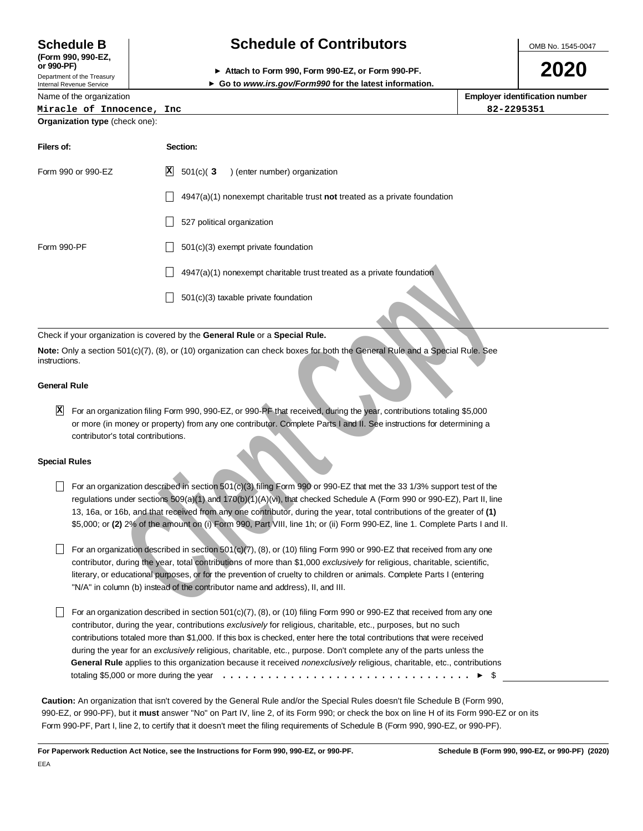**(Form 990, 990-EZ,**

Department of the Treasury

Internal Revenue Service

Name of the organization

# **Schedule B Schedule of Contributors**

**or 990-PF) Attach to Form 990, Form 990-EZ, or Form 990-PF.**

OMB No. 1545-0047

**2020**

| ► Go to www.irs.gov/Form990 for the latest information. |
|---------------------------------------------------------|
|                                                         |

**Employer identification number Organization type** (check one): **Miracle of Innocence, Inc 82-2295351**

| Filers of:         | Section:                                                                    |
|--------------------|-----------------------------------------------------------------------------|
| Form 990 or 990-EZ | $\mathbf{x}$<br>$501(c)$ (3<br>) (enter number) organization                |
|                    | $4947(a)(1)$ nonexempt charitable trust not treated as a private foundation |
|                    | 527 political organization                                                  |
| Form 990-PF        | 501(c)(3) exempt private foundation                                         |
|                    | 4947(a)(1) nonexempt charitable trust treated as a private foundation       |
|                    | 501(c)(3) taxable private foundation                                        |

## Check if your organization is covered by the **General Rule** or a **Special Rule.**

**Note:** Only a section 501(c)(7), (8), or (10) organization can check boxes for both the General Rule and a Special Rule. See instructions.

## **General Rule**

For an organization filing Form 990, 990-EZ, or 990-PF that received, during the year, contributions totaling \$5,000 **X**or more (in money or property) from any one contributor. Complete Parts I and II. See instructions for determining a contributor's total contributions.

## **Special Rules**

- For an organization described in section 501(c)(3) filing Form 990 or 990-EZ that met the 33 1/3% support test of the regulations under sections 509(a)(1) and 170(b)(1)(A)(vi), that checked Schedule A (Form 990 or 990-EZ), Part II, line 13, 16a, or 16b, and that received from any one contributor, during the year, total contributions of the greater of **(1)** \$5,000; or **(2)** 2% of the amount on (i) Form 990, Part VIII, line 1h; or (ii) Form 990-EZ, line 1. Complete Parts I and II.
- $\Box$  For an organization described in section 501(c)(7), (8), or (10) filing Form 990 or 990-EZ that received from any one contributor, during the year, total contributions of more than \$1,000 exclusively for religious, charitable, scientific, literary, or educational purposes, or for the prevention of cruelty to children or animals. Complete Parts I (entering "N/A" in column (b) instead of the contributor name and address), II, and III.
- **α** 4947(s)(1) nonexempt charitable trust treated as a private foundation<br> **Cliential** covered by the General Rule or a Special Rule.<br>
Tradicion is covered by the General Rule or a Special Rule.<br>
An 501(c)(7), (8), or (1 For an organization described in section 501(c)(7),  $(8)$ , or (10) filing Form 990 or 990-EZ that received from any one contributor, during the year, contributions exclusively for religious, charitable, etc., purposes, but no such contributions totaled more than \$1,000. If this box is checked, enter here the total contributions that were received during the year for an exclusively religious, charitable, etc., purpose. Don't complete any of the parts unless the **General Rule** applies to this organization because it received nonexclusively religious, charitable, etc., contributions totaling \$5,000 or more during the year \$ .................................

**Caution:** An organization that isn't covered by the General Rule and/or the Special Rules doesn't file Schedule B (Form 990, 990-EZ, or 990-PF), but it **must** answer "No" on Part IV, line 2, of its Form 990; or check the box on line H of its Form 990-EZ or on its Form 990-PF, Part I, line 2, to certify that it doesn't meet the filing requirements of Schedule B (Form 990, 990-EZ, or 990-PF).

**For Paperwork Reduction Act Notice, see the Instructions for Form 990, 990-EZ, or 990-PF. Schedule B (Form 990, 990-EZ, or 990-PF) (2020)**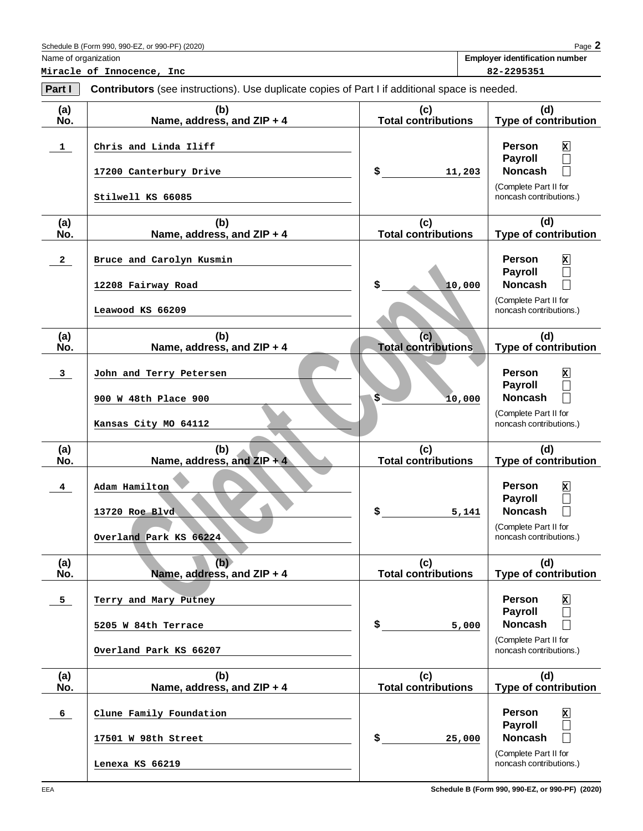| Schedule B (Form 990, 990-EZ,<br>or 990-PF)<br>(2020)<br>. 01 | Page |
|---------------------------------------------------------------|------|
|---------------------------------------------------------------|------|

**Miracle of Innocence, Inc 82-2295351**

Name of organization **Employer identification number**

| (a)<br>No.     | (b)<br>Name, address, and ZIP + 4                                       | (c)<br><b>Total contributions</b> | (d)<br><b>Type of contribution</b>                                                                                    |
|----------------|-------------------------------------------------------------------------|-----------------------------------|-----------------------------------------------------------------------------------------------------------------------|
| $\mathbf{1}$   | Chris and Linda Iliff<br>17200 Canterbury Drive<br>Stilwell KS 66085    | \$<br>11,203                      | <b>Person</b><br>$\mathbf{x}$<br><b>Payroll</b><br><b>Noncash</b><br>(Complete Part II for<br>noncash contributions.) |
| (a)<br>No.     | (b)<br>Name, address, and ZIP + 4                                       | (c)<br><b>Total contributions</b> | (d)<br><b>Type of contribution</b>                                                                                    |
| $\mathbf{2}$   | Bruce and Carolyn Kusmin<br>12208 Fairway Road<br>Leawood KS 66209      | \$<br>10,000                      | <b>Person</b><br>$\mathbf{x}$<br><b>Payroll</b><br><b>Noncash</b><br>(Complete Part II for<br>noncash contributions.) |
| (a)<br>No.     | (b)<br>Name, address, and ZIP + 4                                       | (c)<br><b>Total contributions</b> | (d)<br><b>Type of contribution</b>                                                                                    |
| $\mathbf{3}$   | John and Terry Petersen<br>900 W 48th Place 900<br>Kansas City MO 64112 | \$<br>10,000                      | <b>Person</b><br>$\mathbf{x}$<br><b>Payroll</b><br><b>Noncash</b><br>(Complete Part II for<br>noncash contributions.) |
| (a)<br>No.     | (b)<br>Name, address, and $ZIP + 4$                                     | (c)<br><b>Total contributions</b> | (d)<br><b>Type of contribution</b>                                                                                    |
| $\overline{4}$ | Adam Hamilton<br>13720 Roe Blvd<br>Overland Park KS 66224               | \$<br>5,141                       | <b>Person</b><br>$\mathbf{x}$<br><b>Payroll</b><br><b>Noncash</b><br>(Complete Part II for<br>noncash contributions.) |
| (a)<br>No.     | (b)<br>Name, address, and ZIP + 4                                       | (c)<br><b>Total contributions</b> | (d)<br><b>Type of contribution</b>                                                                                    |
| 5 <sub>1</sub> | Terry and Mary Putney<br>5205 W 84th Terrace<br>Overland Park KS 66207  | \$<br>5,000                       | <b>Person</b><br>$\mathbf{x}$<br>Payroll<br><b>Noncash</b><br>(Complete Part II for<br>noncash contributions.)        |
| (a)<br>No.     | (b)<br>Name, address, and ZIP + 4                                       | (c)<br><b>Total contributions</b> | (d)<br><b>Type of contribution</b>                                                                                    |
| 6              | Clune Family Foundation<br>17501 W 98th Street<br>Lenexa KS 66219       | \$<br>25,000                      | <b>Person</b><br>$\mathbf{x}$<br><b>Payroll</b><br><b>Noncash</b><br>(Complete Part II for<br>noncash contributions.) |

**Part I** Contributors (see instructions). Use duplicate copies of Part I if additional space is needed.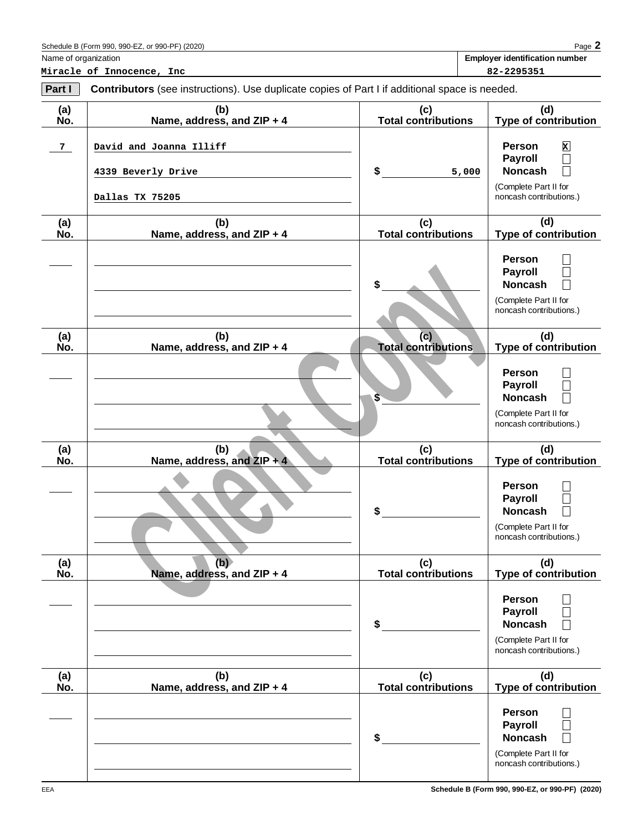| Schedule B (Form 990.<br>. 990-EZ. or<br>or 990-PF) (2020) | Page |
|------------------------------------------------------------|------|
|------------------------------------------------------------|------|

**Miracle of Innocence, Inc 82-2295351**

Name of organization **Employer identification number**

| (a)<br>Ńó.     | (b)<br>Name, address, and ZIP + 4                                | (c)<br><b>Total contributions</b> | (d)<br><b>Type of contribution</b>                                                                                                                   |
|----------------|------------------------------------------------------------------|-----------------------------------|------------------------------------------------------------------------------------------------------------------------------------------------------|
| $7\phantom{.}$ | David and Joanna Illiff<br>4339 Beverly Drive<br>Dallas TX 75205 | \$<br>5,000                       | Person<br>×<br><b>Payroll</b><br>$\overline{\phantom{a}}$<br><b>Noncash</b><br>$\vert \ \ \vert$<br>(Complete Part II for<br>noncash contributions.) |
| (a)<br>Ńó.     | (b)<br>Name, address, and ZIP + 4                                | (c)<br><b>Total contributions</b> | (d)<br><b>Type of contribution</b>                                                                                                                   |
| (a)<br>Ńó.     | (b)<br>Name, address, and ZIP + 4                                | (c)<br><b>Total contributions</b> | Person<br><b>Payroll</b><br><b>Noncash</b><br>(Complete Part II for<br>noncash contributions.)<br>(d)<br><b>Type of contribution</b>                 |
|                |                                                                  | \$                                | Person<br><b>Payroll</b><br><b>Noncash</b><br>(Complete Part II for<br>noncash contributions.)                                                       |
| (a)<br>Ńó.     | (b)<br>Name, address, and $ZIP + 4$                              | (c)<br><b>Total contributions</b> | (d)<br><b>Type of contribution</b>                                                                                                                   |
|                |                                                                  | \$                                | Person<br><b>Payroll</b><br><b>Noncash</b><br>(Complete Part II for<br>noncash contributions.)                                                       |
| (a)<br>NO.     | (b)<br>Name, address, and ZIP + 4                                | (c)<br><b>Total contributions</b> | (d)<br>Type of contribution                                                                                                                          |
|                |                                                                  | \$                                | Person<br><b>Payroll</b><br>$\Box$<br><b>Noncash</b><br>П<br>(Complete Part II for<br>noncash contributions.)                                        |
| (a)<br>Ño.     | (b)<br>Name, address, and ZIP + 4                                | (c)<br><b>Total contributions</b> | (d)<br><b>Type of contribution</b>                                                                                                                   |
|                |                                                                  | \$                                | Person<br><b>Payroll</b><br><b>Noncash</b><br>П<br>(Complete Part II for<br>noncash contributions.)                                                  |

**Part I** Contributors (see instructions). Use duplicate copies of Part I if additional space is needed.

**Schedule B (Form 990, 990-EZ, or 990-PF) (2020)**

 $\frac{1}{2}$ 

 $\overline{\phantom{0}}$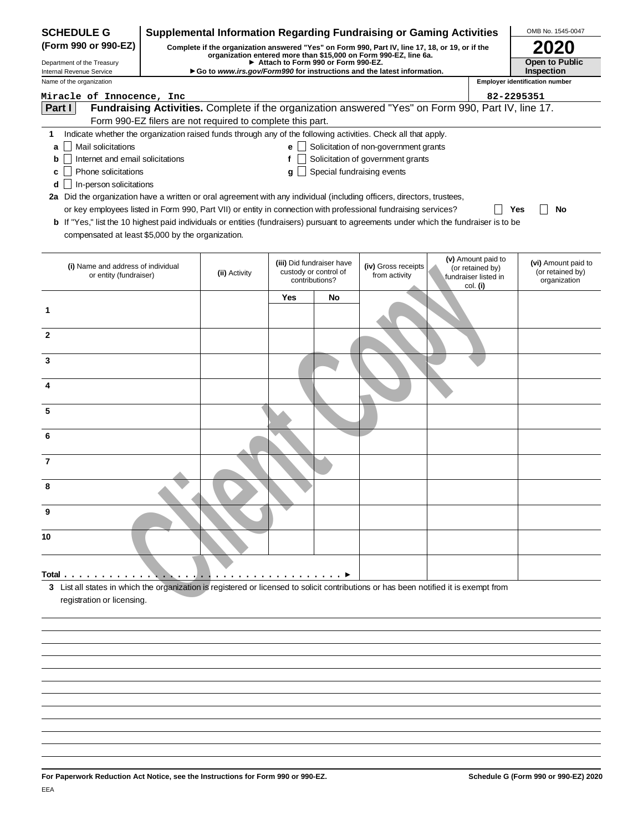| <b>SCHEDULE G</b>                                                                                                                                                                                                                                                                                                                                                     | <b>Supplemental Information Regarding Fundraising or Gaming Activities</b> |                                                            |                                                                                                                                                                                                                                                                |                                      |                              | OMB No. 1545-0047                |                                       |
|-----------------------------------------------------------------------------------------------------------------------------------------------------------------------------------------------------------------------------------------------------------------------------------------------------------------------------------------------------------------------|----------------------------------------------------------------------------|------------------------------------------------------------|----------------------------------------------------------------------------------------------------------------------------------------------------------------------------------------------------------------------------------------------------------------|--------------------------------------|------------------------------|----------------------------------|---------------------------------------|
| (Form 990 or 990-EZ)<br>Complete if the organization answered "Yes" on Form 990, Part IV, line 17, 18, or 19, or if the<br>organization entered more than \$15,000 on Form 990-EZ, line 6a.<br>Attach to Form 990 or Form 990-EZ.<br>Department of the Treasury<br>Go to www.irs.gov/Form990 for instructions and the latest information.<br>Internal Revenue Service |                                                                            |                                                            |                                                                                                                                                                                                                                                                |                                      | <b>2020</b>                  |                                  |                                       |
|                                                                                                                                                                                                                                                                                                                                                                       |                                                                            |                                                            |                                                                                                                                                                                                                                                                |                                      | Open to Public<br>Inspection |                                  |                                       |
| Name of the organization                                                                                                                                                                                                                                                                                                                                              |                                                                            |                                                            |                                                                                                                                                                                                                                                                |                                      |                              |                                  | <b>Employer identification number</b> |
| Miracle of Innocence, Inc.                                                                                                                                                                                                                                                                                                                                            |                                                                            |                                                            |                                                                                                                                                                                                                                                                |                                      |                              |                                  | 82-2295351                            |
| Part I                                                                                                                                                                                                                                                                                                                                                                |                                                                            |                                                            | Fundraising Activities. Complete if the organization answered "Yes" on Form 990, Part IV, line 17.                                                                                                                                                             |                                      |                              |                                  |                                       |
|                                                                                                                                                                                                                                                                                                                                                                       |                                                                            | Form 990-EZ filers are not required to complete this part. |                                                                                                                                                                                                                                                                |                                      |                              |                                  |                                       |
| 1.                                                                                                                                                                                                                                                                                                                                                                    |                                                                            |                                                            | Indicate whether the organization raised funds through any of the following activities. Check all that apply.                                                                                                                                                  |                                      |                              |                                  |                                       |
| Mail solicitations<br>a                                                                                                                                                                                                                                                                                                                                               |                                                                            |                                                            | $\mathbf{e}$ Solicitation of non-government grants                                                                                                                                                                                                             |                                      |                              |                                  |                                       |
| Internet and email solicitations<br>b                                                                                                                                                                                                                                                                                                                                 |                                                                            |                                                            | f                                                                                                                                                                                                                                                              | Solicitation of government grants    |                              |                                  |                                       |
| Phone solicitations<br>c                                                                                                                                                                                                                                                                                                                                              |                                                                            |                                                            | Special fundraising events<br>g                                                                                                                                                                                                                                |                                      |                              |                                  |                                       |
| In-person solicitations<br>d                                                                                                                                                                                                                                                                                                                                          |                                                                            |                                                            |                                                                                                                                                                                                                                                                |                                      |                              |                                  |                                       |
| 2a Did the organization have a written or oral agreement with any individual (including officers, directors, trustees,                                                                                                                                                                                                                                                |                                                                            |                                                            |                                                                                                                                                                                                                                                                |                                      |                              |                                  |                                       |
|                                                                                                                                                                                                                                                                                                                                                                       |                                                                            |                                                            | or key employees listed in Form 990, Part VII) or entity in connection with professional fundraising services?<br><b>b</b> If "Yes," list the 10 highest paid individuals or entities (fundraisers) pursuant to agreements under which the fundraiser is to be |                                      |                              |                                  | Yes<br>No                             |
| compensated at least \$5,000 by the organization.                                                                                                                                                                                                                                                                                                                     |                                                                            |                                                            |                                                                                                                                                                                                                                                                |                                      |                              |                                  |                                       |
|                                                                                                                                                                                                                                                                                                                                                                       |                                                                            |                                                            |                                                                                                                                                                                                                                                                |                                      |                              |                                  |                                       |
|                                                                                                                                                                                                                                                                                                                                                                       |                                                                            |                                                            |                                                                                                                                                                                                                                                                |                                      |                              | (v) Amount paid to               | (vi) Amount paid to                   |
| (i) Name and address of individual<br>or entity (fundraiser)                                                                                                                                                                                                                                                                                                          |                                                                            | (ii) Activity                                              | (iii) Did fundraiser have<br>custody or control of                                                                                                                                                                                                             | (iv) Gross receipts<br>from activity |                              | (or retained by)                 | (or retained by)                      |
|                                                                                                                                                                                                                                                                                                                                                                       |                                                                            |                                                            | contributions?                                                                                                                                                                                                                                                 |                                      |                              | fundraiser listed in<br>col. (i) | organization                          |
|                                                                                                                                                                                                                                                                                                                                                                       |                                                                            |                                                            | Yes<br>No                                                                                                                                                                                                                                                      |                                      |                              |                                  |                                       |
| 1                                                                                                                                                                                                                                                                                                                                                                     |                                                                            |                                                            |                                                                                                                                                                                                                                                                |                                      |                              |                                  |                                       |
|                                                                                                                                                                                                                                                                                                                                                                       |                                                                            |                                                            |                                                                                                                                                                                                                                                                |                                      |                              |                                  |                                       |
| $\mathbf{2}$                                                                                                                                                                                                                                                                                                                                                          |                                                                            |                                                            |                                                                                                                                                                                                                                                                |                                      |                              |                                  |                                       |
|                                                                                                                                                                                                                                                                                                                                                                       |                                                                            |                                                            |                                                                                                                                                                                                                                                                |                                      |                              |                                  |                                       |
| 3                                                                                                                                                                                                                                                                                                                                                                     |                                                                            |                                                            |                                                                                                                                                                                                                                                                |                                      |                              |                                  |                                       |
|                                                                                                                                                                                                                                                                                                                                                                       |                                                                            |                                                            |                                                                                                                                                                                                                                                                |                                      |                              |                                  |                                       |
| 4                                                                                                                                                                                                                                                                                                                                                                     |                                                                            |                                                            |                                                                                                                                                                                                                                                                |                                      |                              |                                  |                                       |
| 5                                                                                                                                                                                                                                                                                                                                                                     |                                                                            |                                                            |                                                                                                                                                                                                                                                                |                                      |                              |                                  |                                       |
|                                                                                                                                                                                                                                                                                                                                                                       |                                                                            |                                                            |                                                                                                                                                                                                                                                                |                                      |                              |                                  |                                       |
| 6                                                                                                                                                                                                                                                                                                                                                                     |                                                                            |                                                            |                                                                                                                                                                                                                                                                |                                      |                              |                                  |                                       |
|                                                                                                                                                                                                                                                                                                                                                                       |                                                                            |                                                            |                                                                                                                                                                                                                                                                |                                      |                              |                                  |                                       |
| 7                                                                                                                                                                                                                                                                                                                                                                     |                                                                            |                                                            |                                                                                                                                                                                                                                                                |                                      |                              |                                  |                                       |
|                                                                                                                                                                                                                                                                                                                                                                       |                                                                            |                                                            |                                                                                                                                                                                                                                                                |                                      |                              |                                  |                                       |
| 8                                                                                                                                                                                                                                                                                                                                                                     |                                                                            |                                                            |                                                                                                                                                                                                                                                                |                                      |                              |                                  |                                       |
|                                                                                                                                                                                                                                                                                                                                                                       |                                                                            |                                                            |                                                                                                                                                                                                                                                                |                                      |                              |                                  |                                       |
| 9                                                                                                                                                                                                                                                                                                                                                                     |                                                                            |                                                            |                                                                                                                                                                                                                                                                |                                      |                              |                                  |                                       |
|                                                                                                                                                                                                                                                                                                                                                                       |                                                                            |                                                            |                                                                                                                                                                                                                                                                |                                      |                              |                                  |                                       |
| 10                                                                                                                                                                                                                                                                                                                                                                    |                                                                            |                                                            |                                                                                                                                                                                                                                                                |                                      |                              |                                  |                                       |
|                                                                                                                                                                                                                                                                                                                                                                       |                                                                            |                                                            |                                                                                                                                                                                                                                                                |                                      |                              |                                  |                                       |
| Total.                                                                                                                                                                                                                                                                                                                                                                |                                                                            |                                                            |                                                                                                                                                                                                                                                                |                                      |                              |                                  |                                       |
| 3 List all states in which the organization is registered or licensed to solicit contributions or has been notified it is exempt from                                                                                                                                                                                                                                 |                                                                            | $\cdot$ .<br>$\cdots$                                      |                                                                                                                                                                                                                                                                |                                      |                              |                                  |                                       |
| registration or licensing.                                                                                                                                                                                                                                                                                                                                            |                                                                            |                                                            |                                                                                                                                                                                                                                                                |                                      |                              |                                  |                                       |
|                                                                                                                                                                                                                                                                                                                                                                       |                                                                            |                                                            |                                                                                                                                                                                                                                                                |                                      |                              |                                  |                                       |
|                                                                                                                                                                                                                                                                                                                                                                       |                                                                            |                                                            |                                                                                                                                                                                                                                                                |                                      |                              |                                  |                                       |
|                                                                                                                                                                                                                                                                                                                                                                       |                                                                            |                                                            |                                                                                                                                                                                                                                                                |                                      |                              |                                  |                                       |
|                                                                                                                                                                                                                                                                                                                                                                       |                                                                            |                                                            |                                                                                                                                                                                                                                                                |                                      |                              |                                  |                                       |
|                                                                                                                                                                                                                                                                                                                                                                       |                                                                            |                                                            |                                                                                                                                                                                                                                                                |                                      |                              |                                  |                                       |
|                                                                                                                                                                                                                                                                                                                                                                       |                                                                            |                                                            |                                                                                                                                                                                                                                                                |                                      |                              |                                  |                                       |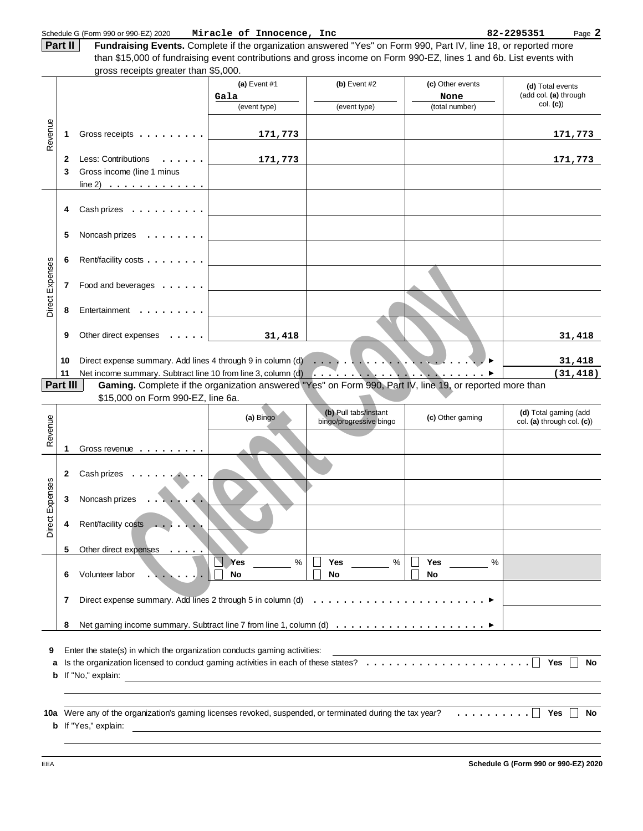**Fundraising Events.** Complete if the organization answered "Yes" on Form 990, Part IV, line 18, or reported more than \$15,000 of fundraising event contributions and gross income on Form 990-EZ, lines 1 and 6b. List events with **Part II**

|                 |          | gross receipts greater than \$5,000.                                                                                                     |                          |                                                  |                              |                                                     |
|-----------------|----------|------------------------------------------------------------------------------------------------------------------------------------------|--------------------------|--------------------------------------------------|------------------------------|-----------------------------------------------------|
|                 |          |                                                                                                                                          | (a) Event $#1$<br>Gala   | (b) Event #2                                     | (c) Other events<br>None     | (d) Total events<br>(add col. (a) through           |
|                 |          |                                                                                                                                          | (event type)             | (event type)                                     | (total number)               | col. (c)                                            |
| Revenue         | 1        | Gross receipts                                                                                                                           | 171,773                  |                                                  |                              | 171,773                                             |
|                 | 2        | Less: Contributions                                                                                                                      | 171,773                  |                                                  |                              | 171,773                                             |
|                 | 3        | Gross income (line 1 minus                                                                                                               |                          |                                                  |                              |                                                     |
|                 |          | line 2) $\ldots$                                                                                                                         |                          |                                                  |                              |                                                     |
|                 |          |                                                                                                                                          |                          |                                                  |                              |                                                     |
|                 | 4        | Cash prizes                                                                                                                              |                          |                                                  |                              |                                                     |
|                 | 5        | Noncash prizes<br>$\mathcal{A}$ . The set of the set of $\mathcal{A}$                                                                    |                          |                                                  |                              |                                                     |
|                 | 6        | Rent/facility costs                                                                                                                      |                          |                                                  |                              |                                                     |
| Direct Expenses | 7        | Food and beverages                                                                                                                       |                          |                                                  |                              |                                                     |
|                 | 8        | Entertainment                                                                                                                            |                          |                                                  |                              |                                                     |
|                 | 9        | Other direct expenses                                                                                                                    | 31,418                   |                                                  |                              | 31,418                                              |
|                 |          |                                                                                                                                          |                          |                                                  |                              |                                                     |
|                 | 10<br>11 |                                                                                                                                          |                          |                                                  |                              | 31,418<br>(31, 418)                                 |
|                 | Part III | Gaming. Complete if the organization answered "Yes" on Form 990, Part IV, line 19, or reported more than                                 |                          |                                                  |                              |                                                     |
|                 |          | \$15,000 on Form 990-EZ, line 6a.                                                                                                        |                          |                                                  |                              |                                                     |
|                 |          |                                                                                                                                          |                          |                                                  |                              |                                                     |
|                 |          |                                                                                                                                          | (a) Bingo                | (b) Pull tabs/instant<br>bingo/progressive bingo | (c) Other gaming             | (d) Total gaming (add<br>col. (a) through col. (c)) |
| Revenue         | 1        | Gross revenue                                                                                                                            |                          |                                                  |                              |                                                     |
|                 |          |                                                                                                                                          |                          |                                                  |                              |                                                     |
|                 | 2        | Cash prizes<br>$\cdots$                                                                                                                  |                          |                                                  |                              |                                                     |
|                 | 3        | Noncash prizes                                                                                                                           |                          |                                                  |                              |                                                     |
|                 |          |                                                                                                                                          |                          |                                                  |                              |                                                     |
| Direct Expenses | 4        | Rent/facility costs<br>.                                                                                                                 |                          |                                                  |                              |                                                     |
|                 | 5        | Other direct expenses<br>$\sim$                                                                                                          |                          |                                                  |                              |                                                     |
|                 | 6        | Volunteer labor                                                                                                                          | $\%$<br>Yes<br><b>No</b> | $\%$<br><b>Yes</b><br><b>No</b>                  | <b>Yes</b><br>%<br><b>No</b> |                                                     |
|                 | 7        |                                                                                                                                          |                          |                                                  |                              |                                                     |
|                 | 8        |                                                                                                                                          |                          |                                                  |                              |                                                     |
|                 |          |                                                                                                                                          |                          |                                                  |                              |                                                     |
| 9               |          | Enter the state(s) in which the organization conducts gaming activities:                                                                 |                          |                                                  |                              |                                                     |
| a               |          |                                                                                                                                          |                          |                                                  |                              | Yes<br>No                                           |
| b               |          | If "No," explain:                                                                                                                        |                          |                                                  |                              |                                                     |
|                 |          |                                                                                                                                          |                          |                                                  |                              |                                                     |
|                 |          |                                                                                                                                          |                          |                                                  |                              |                                                     |
|                 |          | 10a Were any of the organization's gaming licenses revoked, suspended, or terminated during the tax year?<br><b>b</b> If "Yes," explain: |                          |                                                  |                              | <b>Yes</b><br>No                                    |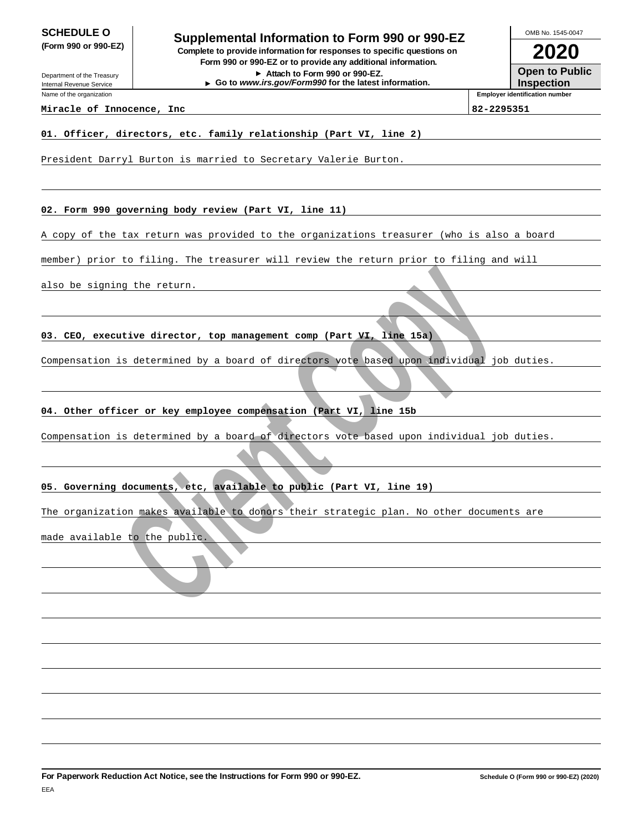Department of the Treasury Internal Revenue Service Name of the organization

**SCHEDULE O**<br> **Supplemental Information to Form 990 or 990-EZ**<br> **Supplemental Information to Form 990 or 990-EZ (Form 990 or 990-EZ) Complete to provide information for responses to specific questions on Form 990 or 990-EZ or to provide any additional information.**

**Attach to Form 990 or 990-EZ. Go to www.irs.gov/Form990 for the latest information.**

**2020** OMB No. 1545-0047

**Open to Public Inspection**

**Employer identification number**

## **Miracle of Innocence, Inc 82-2295351**

## **01. Officer, directors, etc. family relationship (Part VI, line 2)**

President Darryl Burton is married to Secretary Valerie Burton.

### **02. Form 990 governing body review (Part VI, line 11)**

A copy of the tax return was provided to the organizations treasurer (who is also a board

member) prior to filing. The treasurer will review the return prior to filing and will

also be signing the return.

**03. CEO, executive director, top management comp (Part VI, line 15a)**

entive director, top management comp (Part VI, line 15a)<br>
a is determined by a board of directors vote based whom individual job<br>
filer or key employee compensation (Part VI, line 15b<br>
is determined by a board of directors Compensation is determined by a board of directors vote based upon individual job duties.

## **04. Other officer or key employee compensation (Part VI, line 15b**

Compensation is determined by a board of directors vote based upon individual job duties.

## **05. Governing documents, etc, available to public (Part VI, line 19)**

The organization makes available to donors their strategic plan. No other documents are

made available to the public.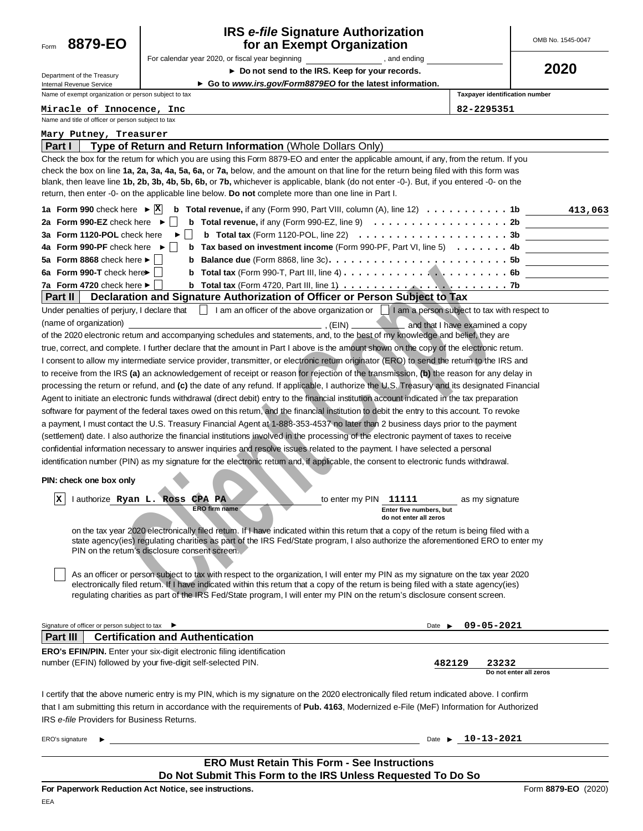| 8879-EO<br>Form                                                                                                                        | <b>IRS e-file Signature Authorization</b><br>for an Exempt Organization                                                                                                                                                                                                                                                                                                                                                                                                                                                                                                                                                                                                                                                                                                                                                                                                                                                                                                                                                                                                                                                                                                                                                                                                                                                                                                                                                                                                                                                                                                                                                                                                                                                                                                                                                                                                                                                                                                                                                                                                                                                                                                                                                                                                                                                                                          |                                                                                                                                                                                                                                           |                                                    | OMB No. 1545-0047      |  |
|----------------------------------------------------------------------------------------------------------------------------------------|------------------------------------------------------------------------------------------------------------------------------------------------------------------------------------------------------------------------------------------------------------------------------------------------------------------------------------------------------------------------------------------------------------------------------------------------------------------------------------------------------------------------------------------------------------------------------------------------------------------------------------------------------------------------------------------------------------------------------------------------------------------------------------------------------------------------------------------------------------------------------------------------------------------------------------------------------------------------------------------------------------------------------------------------------------------------------------------------------------------------------------------------------------------------------------------------------------------------------------------------------------------------------------------------------------------------------------------------------------------------------------------------------------------------------------------------------------------------------------------------------------------------------------------------------------------------------------------------------------------------------------------------------------------------------------------------------------------------------------------------------------------------------------------------------------------------------------------------------------------------------------------------------------------------------------------------------------------------------------------------------------------------------------------------------------------------------------------------------------------------------------------------------------------------------------------------------------------------------------------------------------------------------------------------------------------------------------------------------------------|-------------------------------------------------------------------------------------------------------------------------------------------------------------------------------------------------------------------------------------------|----------------------------------------------------|------------------------|--|
|                                                                                                                                        | For calendar year 2020, or fiscal year beginning states and ending and ending                                                                                                                                                                                                                                                                                                                                                                                                                                                                                                                                                                                                                                                                                                                                                                                                                                                                                                                                                                                                                                                                                                                                                                                                                                                                                                                                                                                                                                                                                                                                                                                                                                                                                                                                                                                                                                                                                                                                                                                                                                                                                                                                                                                                                                                                                    |                                                                                                                                                                                                                                           |                                                    |                        |  |
| Department of the Treasury                                                                                                             |                                                                                                                                                                                                                                                                                                                                                                                                                                                                                                                                                                                                                                                                                                                                                                                                                                                                                                                                                                                                                                                                                                                                                                                                                                                                                                                                                                                                                                                                                                                                                                                                                                                                                                                                                                                                                                                                                                                                                                                                                                                                                                                                                                                                                                                                                                                                                                  | ► Do not send to the IRS. Keep for your records.                                                                                                                                                                                          |                                                    | 2020                   |  |
| Internal Revenue Service                                                                                                               |                                                                                                                                                                                                                                                                                                                                                                                                                                                                                                                                                                                                                                                                                                                                                                                                                                                                                                                                                                                                                                                                                                                                                                                                                                                                                                                                                                                                                                                                                                                                                                                                                                                                                                                                                                                                                                                                                                                                                                                                                                                                                                                                                                                                                                                                                                                                                                  | Go to www.irs.gov/Form8879EO for the latest information.                                                                                                                                                                                  |                                                    |                        |  |
| Name of exempt organization or person subject to tax                                                                                   |                                                                                                                                                                                                                                                                                                                                                                                                                                                                                                                                                                                                                                                                                                                                                                                                                                                                                                                                                                                                                                                                                                                                                                                                                                                                                                                                                                                                                                                                                                                                                                                                                                                                                                                                                                                                                                                                                                                                                                                                                                                                                                                                                                                                                                                                                                                                                                  |                                                                                                                                                                                                                                           | Taxpayer identification number                     |                        |  |
| Miracle of Innocence, Inc<br>Name and title of officer or person subject to tax                                                        |                                                                                                                                                                                                                                                                                                                                                                                                                                                                                                                                                                                                                                                                                                                                                                                                                                                                                                                                                                                                                                                                                                                                                                                                                                                                                                                                                                                                                                                                                                                                                                                                                                                                                                                                                                                                                                                                                                                                                                                                                                                                                                                                                                                                                                                                                                                                                                  |                                                                                                                                                                                                                                           | 82-2295351                                         |                        |  |
| Mary Putney, Treasurer                                                                                                                 |                                                                                                                                                                                                                                                                                                                                                                                                                                                                                                                                                                                                                                                                                                                                                                                                                                                                                                                                                                                                                                                                                                                                                                                                                                                                                                                                                                                                                                                                                                                                                                                                                                                                                                                                                                                                                                                                                                                                                                                                                                                                                                                                                                                                                                                                                                                                                                  |                                                                                                                                                                                                                                           |                                                    |                        |  |
| ∣ Part I                                                                                                                               | Type of Return and Return Information (Whole Dollars Only)                                                                                                                                                                                                                                                                                                                                                                                                                                                                                                                                                                                                                                                                                                                                                                                                                                                                                                                                                                                                                                                                                                                                                                                                                                                                                                                                                                                                                                                                                                                                                                                                                                                                                                                                                                                                                                                                                                                                                                                                                                                                                                                                                                                                                                                                                                       |                                                                                                                                                                                                                                           |                                                    |                        |  |
| 1a Form 990 check here $\triangleright \overline{X}$<br>2a Form 990-EZ check here $\blacktriangleright$<br>3a Form 1120-POL check here | Check the box for the retum for which you are using this Form 8879-EO and enter the applicable amount, if any, from the retum. If you<br>check the box on line 1a, 2a, 3a, 4a, 5a, 6a, or 7a, below, and the amount on that line for the return being filed with this form was<br>blank, then leave line 1b, 2b, 3b, 4b, 5b, 6b, or 7b, whichever is applicable, blank (do not enter -0-). But, if you entered -0- on the<br>return, then enter -0- on the applicable line below. <b>Do not</b> complete more than one line in Part I.                                                                                                                                                                                                                                                                                                                                                                                                                                                                                                                                                                                                                                                                                                                                                                                                                                                                                                                                                                                                                                                                                                                                                                                                                                                                                                                                                                                                                                                                                                                                                                                                                                                                                                                                                                                                                           | <b>b</b> Total revenue, if any (Form 990, Part VIII, column (A), line 12) $\ldots \ldots \ldots \ldots$<br><b>b</b> Total revenue, if any (Form 990-EZ, line 9) $\ldots \ldots \ldots \ldots \ldots \ldots \ldots$ 2b                     |                                                    | 413,063                |  |
| 4a Form 990-PF check here ►                                                                                                            |                                                                                                                                                                                                                                                                                                                                                                                                                                                                                                                                                                                                                                                                                                                                                                                                                                                                                                                                                                                                                                                                                                                                                                                                                                                                                                                                                                                                                                                                                                                                                                                                                                                                                                                                                                                                                                                                                                                                                                                                                                                                                                                                                                                                                                                                                                                                                                  | <b>b</b> Tax based on investment income (Form 990-PF, Part VI, line 5) $\ldots \ldots$ . 4b                                                                                                                                               |                                                    |                        |  |
| 5a Form 8868 check here $\blacktriangleright$ $\mid$                                                                                   |                                                                                                                                                                                                                                                                                                                                                                                                                                                                                                                                                                                                                                                                                                                                                                                                                                                                                                                                                                                                                                                                                                                                                                                                                                                                                                                                                                                                                                                                                                                                                                                                                                                                                                                                                                                                                                                                                                                                                                                                                                                                                                                                                                                                                                                                                                                                                                  |                                                                                                                                                                                                                                           |                                                    |                        |  |
| 6a Form 990-T check here $\blacksquare$                                                                                                |                                                                                                                                                                                                                                                                                                                                                                                                                                                                                                                                                                                                                                                                                                                                                                                                                                                                                                                                                                                                                                                                                                                                                                                                                                                                                                                                                                                                                                                                                                                                                                                                                                                                                                                                                                                                                                                                                                                                                                                                                                                                                                                                                                                                                                                                                                                                                                  |                                                                                                                                                                                                                                           |                                                    |                        |  |
| 7a Form 4720 check here ►                                                                                                              |                                                                                                                                                                                                                                                                                                                                                                                                                                                                                                                                                                                                                                                                                                                                                                                                                                                                                                                                                                                                                                                                                                                                                                                                                                                                                                                                                                                                                                                                                                                                                                                                                                                                                                                                                                                                                                                                                                                                                                                                                                                                                                                                                                                                                                                                                                                                                                  | <b>b</b> Total tax (Form 4720, Part III, line 1) $\ldots$ $\ldots$ $\ldots$ $\ldots$ $\ldots$ $\ldots$ $\ldots$ .                                                                                                                         |                                                    |                        |  |
| ∣ Part II                                                                                                                              | Declaration and Signature Authorization of Officer or Person Subject to Tax                                                                                                                                                                                                                                                                                                                                                                                                                                                                                                                                                                                                                                                                                                                                                                                                                                                                                                                                                                                                                                                                                                                                                                                                                                                                                                                                                                                                                                                                                                                                                                                                                                                                                                                                                                                                                                                                                                                                                                                                                                                                                                                                                                                                                                                                                      |                                                                                                                                                                                                                                           |                                                    |                        |  |
| Under penalties of perjury, I declare that<br>(name of organization)<br>PIN: check one box only<br>m.<br> X.                           | of the 2020 electronic return and accompanying schedules and statements, and, to the best of my knowledge and belief, they are<br>true, correct, and complete. I further declare that the amount in Part I above is the amount shown on the copy of the electronic return.<br>I consent to allow my intermediate service provider, transmitter, or electronic retum originator (ERO) to send the retum to the IRS and<br>to receive from the IRS (a) an acknowledgement of receipt or reason for rejection of the transmission, (b) the reason for any delay in<br>processing the return or refund, and (c) the date of any refund. If applicable, I authorize the U.S. Treasury and its designated Financial<br>Agent to initiate an electronic funds withdrawal (direct debit) entry to the financial institution account indicated in the tax preparation<br>software for payment of the federal taxes owed on this retum, and the financial institution to debit the entry to this account. To revoke<br>a payment, I must contact the U.S. Treasury Financial Agent at 1-888-353-4537 no later than 2 business days prior to the payment<br>(settlement) date. I also authorize the financial institutions involved in the processing of the electronic payment of taxes to receive<br>confidential information necessary to answer inquiries and resolve issues related to the payment. I have selected a personal<br>identification number (PIN) as my signature for the electronic retum and, if applicable, the consent to electronic funds withdrawal.<br>lauthorize Ryan L. Ross CPA PA<br><b>ERO firm name</b><br>on the tax year 2020 electronically filed retum. If I have indicated within this retum that a copy of the retum is being filed with a<br>state agency(ies) regulating charities as part of the IRS Fed/State program, I also authorize the aforementioned ERO to enter my<br>PIN on the return's disclosure consent screen.<br>As an officer or person subject to tax with respect to the organization, I will enter my PIN as my signature on the tax year 2020<br>electronically filed retum. If I have indicated within this retum that a copy of the retum is being filed with a state agency(ies)<br>requlating charities as part of the IRS Fed/State program, I will enter my PIN on the retum's disclosure consent screen. | am an officer of the above organization or       am a person subject to tax with respect to<br>$\overline{\phantom{a}}$ . (EIN) $\overline{\phantom{a}}$<br>to enter my PIN<br>11111<br>Enter five numbers, but<br>do not enter all zeros | and that I have examined a copy<br>as my signature |                        |  |
| Signature of officer or person subject to tax ▶                                                                                        |                                                                                                                                                                                                                                                                                                                                                                                                                                                                                                                                                                                                                                                                                                                                                                                                                                                                                                                                                                                                                                                                                                                                                                                                                                                                                                                                                                                                                                                                                                                                                                                                                                                                                                                                                                                                                                                                                                                                                                                                                                                                                                                                                                                                                                                                                                                                                                  | Date $\blacktriangleright$                                                                                                                                                                                                                | 09-05-2021                                         |                        |  |
| Part III                                                                                                                               | <b>Certification and Authentication</b>                                                                                                                                                                                                                                                                                                                                                                                                                                                                                                                                                                                                                                                                                                                                                                                                                                                                                                                                                                                                                                                                                                                                                                                                                                                                                                                                                                                                                                                                                                                                                                                                                                                                                                                                                                                                                                                                                                                                                                                                                                                                                                                                                                                                                                                                                                                          |                                                                                                                                                                                                                                           |                                                    |                        |  |
|                                                                                                                                        | ERO's EFIN/PIN. Enter your six-digit electronic filing identification                                                                                                                                                                                                                                                                                                                                                                                                                                                                                                                                                                                                                                                                                                                                                                                                                                                                                                                                                                                                                                                                                                                                                                                                                                                                                                                                                                                                                                                                                                                                                                                                                                                                                                                                                                                                                                                                                                                                                                                                                                                                                                                                                                                                                                                                                            |                                                                                                                                                                                                                                           |                                                    |                        |  |
|                                                                                                                                        | number (EFIN) followed by your five-digit self-selected PIN.                                                                                                                                                                                                                                                                                                                                                                                                                                                                                                                                                                                                                                                                                                                                                                                                                                                                                                                                                                                                                                                                                                                                                                                                                                                                                                                                                                                                                                                                                                                                                                                                                                                                                                                                                                                                                                                                                                                                                                                                                                                                                                                                                                                                                                                                                                     | 482129                                                                                                                                                                                                                                    | 23232                                              | Do not enter all zeros |  |
| IRS e-file Providers for Business Returns.<br>ERO's signature                                                                          | I certify that the above numeric entry is my PIN, which is my signature on the 2020 electronically filed retum indicated above. I confirm<br>that I am submitting this return in accordance with the requirements of Pub. 4163, Modernized e-File (MeF) Information for Authorized                                                                                                                                                                                                                                                                                                                                                                                                                                                                                                                                                                                                                                                                                                                                                                                                                                                                                                                                                                                                                                                                                                                                                                                                                                                                                                                                                                                                                                                                                                                                                                                                                                                                                                                                                                                                                                                                                                                                                                                                                                                                               | Date $\blacktriangleright$                                                                                                                                                                                                                | 10-13-2021                                         |                        |  |
|                                                                                                                                        |                                                                                                                                                                                                                                                                                                                                                                                                                                                                                                                                                                                                                                                                                                                                                                                                                                                                                                                                                                                                                                                                                                                                                                                                                                                                                                                                                                                                                                                                                                                                                                                                                                                                                                                                                                                                                                                                                                                                                                                                                                                                                                                                                                                                                                                                                                                                                                  |                                                                                                                                                                                                                                           |                                                    |                        |  |
|                                                                                                                                        |                                                                                                                                                                                                                                                                                                                                                                                                                                                                                                                                                                                                                                                                                                                                                                                                                                                                                                                                                                                                                                                                                                                                                                                                                                                                                                                                                                                                                                                                                                                                                                                                                                                                                                                                                                                                                                                                                                                                                                                                                                                                                                                                                                                                                                                                                                                                                                  | <b>ERO Must Retain This Form - See Instructions</b>                                                                                                                                                                                       |                                                    |                        |  |
|                                                                                                                                        | For Paperwork Reduction Act Notice, see instructions.                                                                                                                                                                                                                                                                                                                                                                                                                                                                                                                                                                                                                                                                                                                                                                                                                                                                                                                                                                                                                                                                                                                                                                                                                                                                                                                                                                                                                                                                                                                                                                                                                                                                                                                                                                                                                                                                                                                                                                                                                                                                                                                                                                                                                                                                                                            | Do Not Submit This Form to the IRS Unless Requested To Do So                                                                                                                                                                              |                                                    |                        |  |
| FFA                                                                                                                                    |                                                                                                                                                                                                                                                                                                                                                                                                                                                                                                                                                                                                                                                                                                                                                                                                                                                                                                                                                                                                                                                                                                                                                                                                                                                                                                                                                                                                                                                                                                                                                                                                                                                                                                                                                                                                                                                                                                                                                                                                                                                                                                                                                                                                                                                                                                                                                                  |                                                                                                                                                                                                                                           |                                                    | Form 8879-EO (2020)    |  |